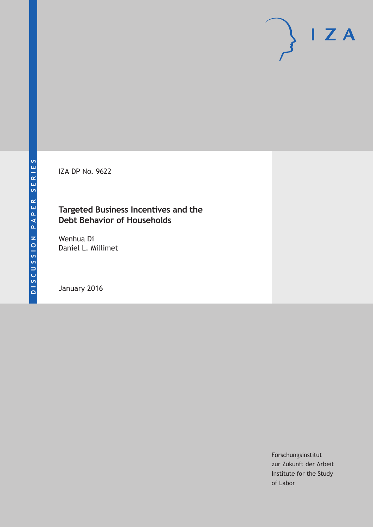IZA DP No. 9622

### **Targeted Business Incentives and the Debt Behavior of Households**

Wenhua Di Daniel L. Millimet

January 2016

Forschungsinstitut zur Zukunft der Arbeit Institute for the Study of Labor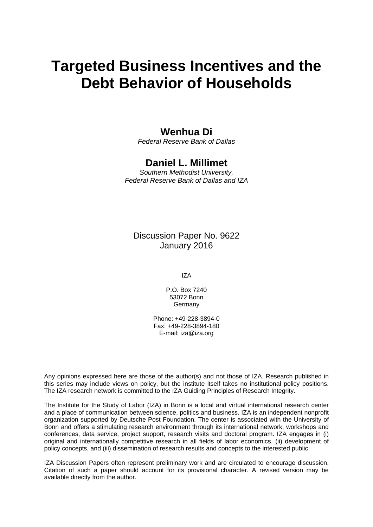# **Targeted Business Incentives and the Debt Behavior of Households**

### **Wenhua Di**

*Federal Reserve Bank of Dallas* 

## **Daniel L. Millimet**

*Southern Methodist University, Federal Reserve Bank of Dallas and IZA* 

Discussion Paper No. 9622 January 2016

IZA

P.O. Box 7240 53072 Bonn **Germany** 

Phone: +49-228-3894-0 Fax: +49-228-3894-180 E-mail: iza@iza.org

Any opinions expressed here are those of the author(s) and not those of IZA. Research published in this series may include views on policy, but the institute itself takes no institutional policy positions. The IZA research network is committed to the IZA Guiding Principles of Research Integrity.

The Institute for the Study of Labor (IZA) in Bonn is a local and virtual international research center and a place of communication between science, politics and business. IZA is an independent nonprofit organization supported by Deutsche Post Foundation. The center is associated with the University of Bonn and offers a stimulating research environment through its international network, workshops and conferences, data service, project support, research visits and doctoral program. IZA engages in (i) original and internationally competitive research in all fields of labor economics, (ii) development of policy concepts, and (iii) dissemination of research results and concepts to the interested public.

IZA Discussion Papers often represent preliminary work and are circulated to encourage discussion. Citation of such a paper should account for its provisional character. A revised version may be available directly from the author.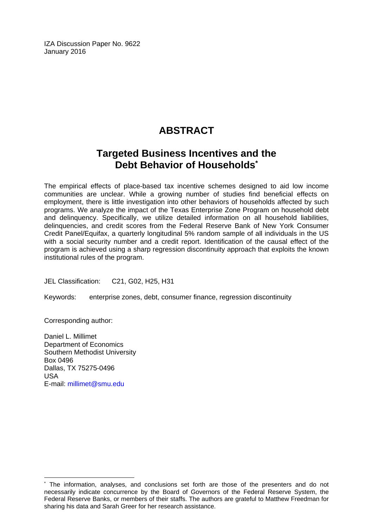IZA Discussion Paper No. 9622 January 2016

# **ABSTRACT**

# **Targeted Business Incentives and the Debt Behavior of Households\***

The empirical effects of place-based tax incentive schemes designed to aid low income communities are unclear. While a growing number of studies find beneficial effects on employment, there is little investigation into other behaviors of households affected by such programs. We analyze the impact of the Texas Enterprise Zone Program on household debt and delinquency. Specifically, we utilize detailed information on all household liabilities, delinquencies, and credit scores from the Federal Reserve Bank of New York Consumer Credit Panel/Equifax, a quarterly longitudinal 5% random sample of all individuals in the US with a social security number and a credit report. Identification of the causal effect of the program is achieved using a sharp regression discontinuity approach that exploits the known institutional rules of the program.

JEL Classification: C21, G02, H25, H31

Keywords: enterprise zones, debt, consumer finance, regression discontinuity

Corresponding author:

 $\overline{a}$ 

Daniel L. Millimet Department of Economics Southern Methodist University Box 0496 Dallas, TX 75275-0496 USA E-mail: millimet@smu.edu

<sup>\*</sup> The information, analyses, and conclusions set forth are those of the presenters and do not necessarily indicate concurrence by the Board of Governors of the Federal Reserve System, the Federal Reserve Banks, or members of their staffs. The authors are grateful to Matthew Freedman for sharing his data and Sarah Greer for her research assistance.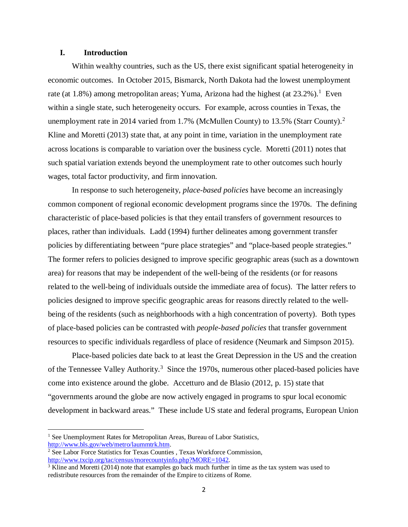#### **I. Introduction**

Within wealthy countries, such as the US, there exist significant spatial heterogeneity in economic outcomes. In October 2015, Bismarck, North Dakota had the lowest unemployment rate (at [1](#page-3-0).8%) among metropolitan areas; Yuma, Arizona had the highest (at  $23.2\%$ ).<sup>1</sup> Even within a single state, such heterogeneity occurs. For example, across counties in Texas, the unemployment rate in [2](#page-3-1)014 varied from 1.7% (McMullen County) to 13.5% (Starr County). $2$ Kline and Moretti (2013) state that, at any point in time, variation in the unemployment rate across locations is comparable to variation over the business cycle. Moretti (2011) notes that such spatial variation extends beyond the unemployment rate to other outcomes such hourly wages, total factor productivity, and firm innovation.

In response to such heterogeneity, *place-based policies* have become an increasingly common component of regional economic development programs since the 1970s. The defining characteristic of place-based policies is that they entail transfers of government resources to places, rather than individuals. Ladd (1994) further delineates among government transfer policies by differentiating between "pure place strategies" and "place-based people strategies." The former refers to policies designed to improve specific geographic areas (such as a downtown area) for reasons that may be independent of the well-being of the residents (or for reasons related to the well-being of individuals outside the immediate area of focus). The latter refers to policies designed to improve specific geographic areas for reasons directly related to the wellbeing of the residents (such as neighborhoods with a high concentration of poverty). Both types of place-based policies can be contrasted with *people-based policies* that transfer government resources to specific individuals regardless of place of residence (Neumark and Simpson 2015).

Place-based policies date back to at least the Great Depression in the US and the creation of the Tennessee Valley Authority.<sup>[3](#page-3-2)</sup> Since the 1970s, numerous other placed-based policies have come into existence around the globe. Accetturo and de Blasio (2012, p. 15) state that "governments around the globe are now actively engaged in programs to spur local economic development in backward areas." These include US state and federal programs, European Union

 $\overline{\phantom{a}}$ 

<span id="page-3-0"></span><sup>&</sup>lt;sup>1</sup> See Unemployment Rates for Metropolitan Areas, Bureau of Labor Statistics,  $\frac{http://www.bls.gov/web/metro/laummtrk.htm.}{}$ 

<span id="page-3-1"></span><sup>&</sup>lt;sup>2</sup> See Labor Force Statistics for Texas Counties , Texas Workforce Commission, http://www.txcip.org/tac/census/morecountyinfo.php?MORE=1042.

<span id="page-3-2"></span> $\frac{3}{8}$  Kline and Moretti (2014) note that examples go back much further in time as the tax system was used to redistribute resources from the remainder of the Empire to citizens of Rome.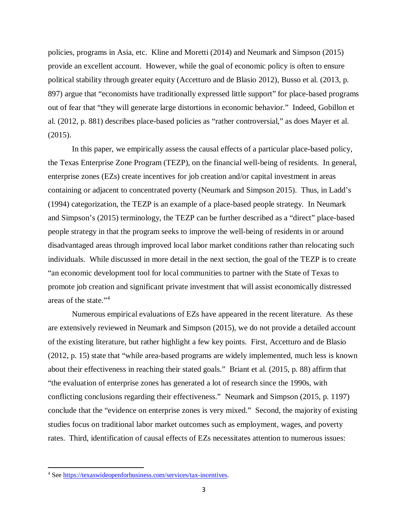policies, programs in Asia, etc. Kline and Moretti (2014) and Neumark and Simpson (2015) provide an excellent account. However, while the goal of economic policy is often to ensure political stability through greater equity (Accetturo and de Blasio 2012), Busso et al. (2013, p. 897) argue that "economists have traditionally expressed little support" for place-based programs out of fear that "they will generate large distortions in economic behavior." Indeed, Gobillon et al. (2012, p. 881) describes place-based policies as "rather controversial," as does Mayer et al. (2015).

In this paper, we empirically assess the causal effects of a particular place-based policy, the Texas Enterprise Zone Program (TEZP), on the financial well-being of residents. In general, enterprise zones (EZs) create incentives for job creation and/or capital investment in areas containing or adjacent to concentrated poverty (Neumark and Simpson 2015). Thus, in Ladd's (1994) categorization, the TEZP is an example of a place-based people strategy. In Neumark and Simpson's (2015) terminology, the TEZP can be further described as a "direct" place-based people strategy in that the program seeks to improve the well-being of residents in or around disadvantaged areas through improved local labor market conditions rather than relocating such individuals. While discussed in more detail in the next section, the goal of the TEZP is to create "an economic development tool for local communities to partner with the State of Texas to promote job creation and significant private investment that will assist economically distressed areas of the state."[4](#page-4-0)

Numerous empirical evaluations of EZs have appeared in the recent literature. As these are extensively reviewed in Neumark and Simpson (2015), we do not provide a detailed account of the existing literature, but rather highlight a few key points. First, Accetturo and de Blasio (2012, p. 15) state that "while area-based programs are widely implemented, much less is known about their effectiveness in reaching their stated goals." Briant et al. (2015, p. 88) affirm that "the evaluation of enterprise zones has generated a lot of research since the 1990s, with conflicting conclusions regarding their effectiveness." Neumark and Simpson (2015, p. 1197) conclude that the "evidence on enterprise zones is very mixed." Second, the majority of existing studies focus on traditional labor market outcomes such as employment, wages, and poverty rates. Third, identification of causal effects of EZs necessitates attention to numerous issues:

 $\overline{\phantom{a}}$ 

<span id="page-4-0"></span><sup>4</sup> Se[e https://texaswideopenforbusiness.com/services/tax-incentives.](https://texaswideopenforbusiness.com/services/tax-incentives)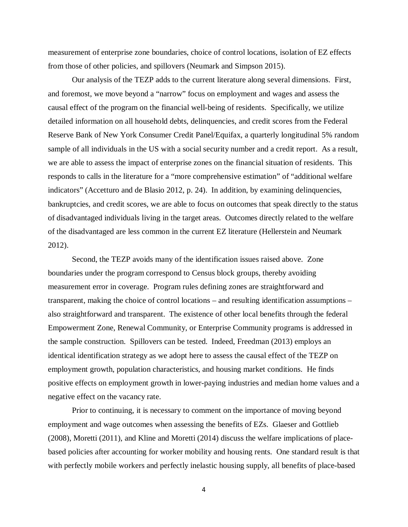measurement of enterprise zone boundaries, choice of control locations, isolation of EZ effects from those of other policies, and spillovers (Neumark and Simpson 2015).

Our analysis of the TEZP adds to the current literature along several dimensions. First, and foremost, we move beyond a "narrow" focus on employment and wages and assess the causal effect of the program on the financial well-being of residents. Specifically, we utilize detailed information on all household debts, delinquencies, and credit scores from the Federal Reserve Bank of New York Consumer Credit Panel/Equifax, a quarterly longitudinal 5% random sample of all individuals in the US with a social security number and a credit report. As a result, we are able to assess the impact of enterprise zones on the financial situation of residents. This responds to calls in the literature for a "more comprehensive estimation" of "additional welfare indicators" (Accetturo and de Blasio 2012, p. 24). In addition, by examining delinquencies, bankruptcies, and credit scores, we are able to focus on outcomes that speak directly to the status of disadvantaged individuals living in the target areas. Outcomes directly related to the welfare of the disadvantaged are less common in the current EZ literature (Hellerstein and Neumark 2012).

Second, the TEZP avoids many of the identification issues raised above. Zone boundaries under the program correspond to Census block groups, thereby avoiding measurement error in coverage. Program rules defining zones are straightforward and transparent, making the choice of control locations – and resulting identification assumptions – also straightforward and transparent. The existence of other local benefits through the federal Empowerment Zone, Renewal Community, or Enterprise Community programs is addressed in the sample construction. Spillovers can be tested. Indeed, Freedman (2013) employs an identical identification strategy as we adopt here to assess the causal effect of the TEZP on employment growth, population characteristics, and housing market conditions. He finds positive effects on employment growth in lower-paying industries and median home values and a negative effect on the vacancy rate.

Prior to continuing, it is necessary to comment on the importance of moving beyond employment and wage outcomes when assessing the benefits of EZs. Glaeser and Gottlieb (2008), Moretti (2011), and Kline and Moretti (2014) discuss the welfare implications of placebased policies after accounting for worker mobility and housing rents. One standard result is that with perfectly mobile workers and perfectly inelastic housing supply, all benefits of place-based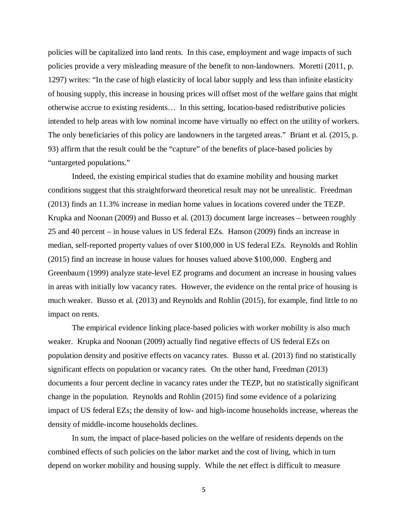policies will be capitalized into land rents. In this case, employment and wage impacts of such policies provide a very misleading measure of the benefit to non-landowners. Moretti (2011, p. 1297) writes: "In the case of high elasticity of local labor supply and less than infinite elasticity of housing supply, this increase in housing prices will offset most of the welfare gains that might otherwise accrue to existing residents… In this setting, location-based redistributive policies intended to help areas with low nominal income have virtually no effect on the utility of workers. The only beneficiaries of this policy are landowners in the targeted areas." Briant et al. (2015, p. 93) affirm that the result could be the "capture" of the benefits of place-based policies by "untargeted populations."

Indeed, the existing empirical studies that do examine mobility and housing market conditions suggest that this straightforward theoretical result may not be unrealistic. Freedman (2013) finds an 11.3% increase in median home values in locations covered under the TEZP. Krupka and Noonan (2009) and Busso et al. (2013) document large increases – between roughly 25 and 40 percent – in house values in US federal EZs. Hanson (2009) finds an increase in median, self-reported property values of over \$100,000 in US federal EZs. Reynolds and Rohlin (2015) find an increase in house values for houses valued above \$100,000. Engberg and Greenbaum (1999) analyze state-level EZ programs and document an increase in housing values in areas with initially low vacancy rates. However, the evidence on the rental price of housing is much weaker. Busso et al. (2013) and Reynolds and Rohlin (2015), for example, find little to no impact on rents.

The empirical evidence linking place-based policies with worker mobility is also much weaker. Krupka and Noonan (2009) actually find negative effects of US federal EZs on population density and positive effects on vacancy rates. Busso et al. (2013) find no statistically significant effects on population or vacancy rates. On the other hand, Freedman (2013) documents a four percent decline in vacancy rates under the TEZP, but no statistically significant change in the population. Reynolds and Rohlin (2015) find some evidence of a polarizing impact of US federal EZs; the density of low- and high-income households increase, whereas the density of middle-income households declines.

In sum, the impact of place-based policies on the welfare of residents depends on the combined effects of such policies on the labor market and the cost of living, which in turn depend on worker mobility and housing supply. While the net effect is difficult to measure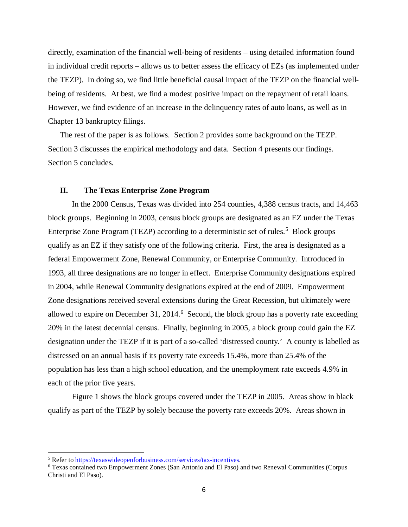directly, examination of the financial well-being of residents – using detailed information found in individual credit reports – allows us to better assess the efficacy of EZs (as implemented under the TEZP). In doing so, we find little beneficial causal impact of the TEZP on the financial wellbeing of residents. At best, we find a modest positive impact on the repayment of retail loans. However, we find evidence of an increase in the delinquency rates of auto loans, as well as in Chapter 13 bankruptcy filings.

The rest of the paper is as follows. Section 2 provides some background on the TEZP. Section 3 discusses the empirical methodology and data. Section 4 presents our findings. Section 5 concludes.

#### **II. The Texas Enterprise Zone Program**

In the 2000 Census, Texas was divided into 254 counties, 4,388 census tracts, and 14,463 block groups. Beginning in 2003, census block groups are designated as an EZ under the Texas Enterprise Zone Program (TEZP) according to a deterministic set of rules.<sup>[5](#page-7-0)</sup> Block groups qualify as an EZ if they satisfy one of the following criteria. First, the area is designated as a federal Empowerment Zone, Renewal Community, or Enterprise Community. Introduced in 1993, all three designations are no longer in effect. Enterprise Community designations expired in 2004, while Renewal Community designations expired at the end of 2009. Empowerment Zone designations received several extensions during the Great Recession, but ultimately were allowed to expire on December 31, 2014. $<sup>6</sup>$  $<sup>6</sup>$  $<sup>6</sup>$  Second, the block group has a poverty rate exceeding</sup> 20% in the latest decennial census. Finally, beginning in 2005, a block group could gain the EZ designation under the TEZP if it is part of a so-called 'distressed county.' A county is labelled as distressed on an annual basis if its poverty rate exceeds 15.4%, more than 25.4% of the population has less than a high school education, and the unemployment rate exceeds 4.9% in each of the prior five years.

Figure 1 shows the block groups covered under the TEZP in 2005. Areas show in black qualify as part of the TEZP by solely because the poverty rate exceeds 20%. Areas shown in

l

<span id="page-7-1"></span><span id="page-7-0"></span><sup>&</sup>lt;sup>5</sup> Refer t[o https://texaswideopenforbusiness.com/services/tax-incentives.](https://texaswideopenforbusiness.com/services/tax-incentives)<br><sup>6</sup> Texas contained two Empowerment Zones (San Antonio and El Paso) and two Renewal Communities (Corpus Christi and El Paso).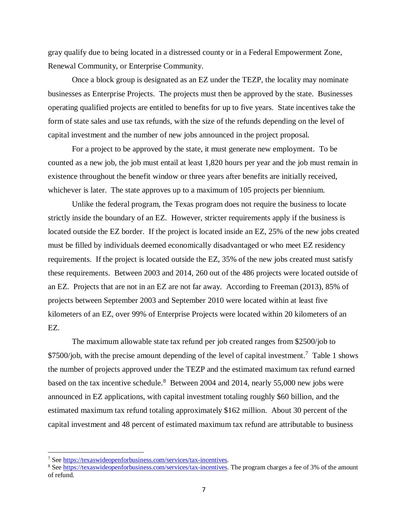gray qualify due to being located in a distressed county or in a Federal Empowerment Zone, Renewal Community, or Enterprise Community.

Once a block group is designated as an EZ under the TEZP, the locality may nominate businesses as Enterprise Projects. The projects must then be approved by the state. Businesses operating qualified projects are entitled to benefits for up to five years. State incentives take the form of state sales and use tax refunds, with the size of the refunds depending on the level of capital investment and the number of new jobs announced in the project proposal.

For a project to be approved by the state, it must generate new employment. To be counted as a new job, the job must entail at least 1,820 hours per year and the job must remain in existence throughout the benefit window or three years after benefits are initially received, whichever is later. The state approves up to a maximum of 105 projects per biennium.

Unlike the federal program, the Texas program does not require the business to locate strictly inside the boundary of an EZ. However, stricter requirements apply if the business is located outside the EZ border. If the project is located inside an EZ, 25% of the new jobs created must be filled by individuals deemed economically disadvantaged or who meet EZ residency requirements. If the project is located outside the EZ, 35% of the new jobs created must satisfy these requirements. Between 2003 and 2014, 260 out of the 486 projects were located outside of an EZ. Projects that are not in an EZ are not far away. According to Freeman (2013), 85% of projects between September 2003 and September 2010 were located within at least five kilometers of an EZ, over 99% of Enterprise Projects were located within 20 kilometers of an EZ.

The maximum allowable state tax refund per job created ranges from \$2500/job to  $$7500/job, with the precise amount depending of the level of capital investment.<sup>7</sup> Table 1 shows$  $$7500/job, with the precise amount depending of the level of capital investment.<sup>7</sup> Table 1 shows$  $$7500/job, with the precise amount depending of the level of capital investment.<sup>7</sup> Table 1 shows$ the number of projects approved under the TEZP and the estimated maximum tax refund earned based on the tax incentive schedule.<sup>[8](#page-8-1)</sup> Between 2004 and 2014, nearly 55,000 new jobs were announced in EZ applications, with capital investment totaling roughly \$60 billion, and the estimated maximum tax refund totaling approximately \$162 million. About 30 percent of the capital investment and 48 percent of estimated maximum tax refund are attributable to business

<sup>&</sup>lt;sup>7</sup> See https://texaswideopenforbusiness.com/services/tax-incentives.

<span id="page-8-1"></span><span id="page-8-0"></span><sup>&</sup>lt;sup>8</sup> Se[e https://texaswideopenforbusiness.com/services/tax-incentives.](https://texaswideopenforbusiness.com/services/tax-incentives) The program charges a fee of 3% of the amount of refund.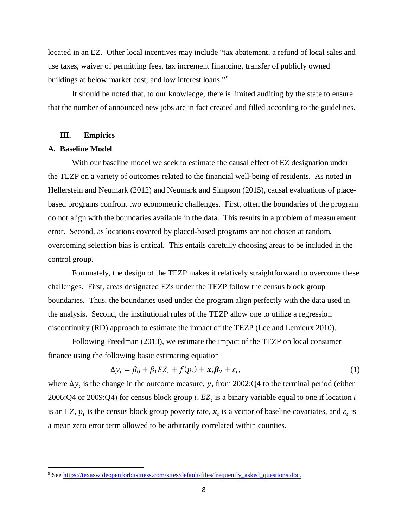located in an EZ. Other local incentives may include "tax abatement, a refund of local sales and use taxes, waiver of permitting fees, tax increment financing, transfer of publicly owned buildings at below market cost, and low interest loans."[9](#page-9-0)

It should be noted that, to our knowledge, there is limited auditing by the state to ensure that the number of announced new jobs are in fact created and filled according to the guidelines.

#### **III. Empirics**

#### **A. Baseline Model**

 $\overline{\phantom{a}}$ 

With our baseline model we seek to estimate the causal effect of EZ designation under the TEZP on a variety of outcomes related to the financial well-being of residents. As noted in Hellerstein and Neumark (2012) and Neumark and Simpson (2015), causal evaluations of placebased programs confront two econometric challenges. First, often the boundaries of the program do not align with the boundaries available in the data. This results in a problem of measurement error. Second, as locations covered by placed-based programs are not chosen at random, overcoming selection bias is critical. This entails carefully choosing areas to be included in the control group.

Fortunately, the design of the TEZP makes it relatively straightforward to overcome these challenges. First, areas designated EZs under the TEZP follow the census block group boundaries. Thus, the boundaries used under the program align perfectly with the data used in the analysis. Second, the institutional rules of the TEZP allow one to utilize a regression discontinuity (RD) approach to estimate the impact of the TEZP (Lee and Lemieux 2010).

Following Freedman (2013), we estimate the impact of the TEZP on local consumer finance using the following basic estimating equation

$$
\Delta y_i = \beta_0 + \beta_1 E Z_i + f(p_i) + x_i \beta_2 + \varepsilon_i,
$$
\n(1)

where  $\Delta y_i$  is the change in the outcome measure, y, from 2002:Q4 to the terminal period (either 2006:Q4 or 2009:Q4) for census block group *i*,  $EZ_i$  is a binary variable equal to one if location *i* is an EZ,  $p_i$  is the census block group poverty rate,  $x_i$  is a vector of baseline covariates, and  $\varepsilon_i$  is a mean zero error term allowed to be arbitrarily correlated within counties.

<span id="page-9-0"></span><sup>9</sup> Se[e https://texaswideopenforbusiness.com/sites/default/files/frequently\\_asked\\_questions.doc.](https://texaswideopenforbusiness.com/sites/default/files/frequently_asked_questions.doc)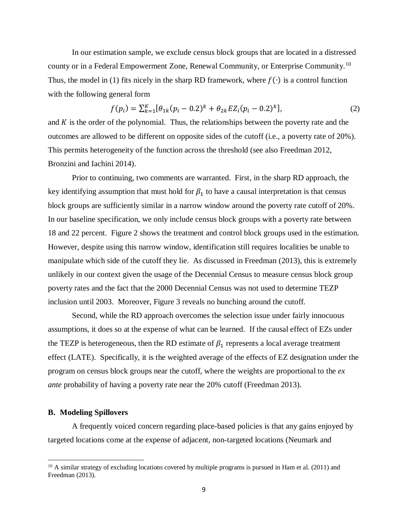In our estimation sample, we exclude census block groups that are located in a distressed county or in a Federal Empowerment Zone, Renewal Community, or Enterprise Community.[10](#page-10-0) Thus, the model in (1) fits nicely in the sharp RD framework, where  $f(\cdot)$  is a control function with the following general form

$$
f(p_i) = \sum_{k=1}^{K} [\theta_{1k}(p_i - 0.2)^k + \theta_{2k} EZ_i(p_i - 0.2)^k],
$$
 (2)

and  $K$  is the order of the polynomial. Thus, the relationships between the poverty rate and the outcomes are allowed to be different on opposite sides of the cutoff (i.e., a poverty rate of 20%). This permits heterogeneity of the function across the threshold (see also Freedman 2012, Bronzini and Iachini 2014).

Prior to continuing, two comments are warranted. First, in the sharp RD approach, the key identifying assumption that must hold for  $\beta_1$  to have a causal interpretation is that census block groups are sufficiently similar in a narrow window around the poverty rate cutoff of 20%. In our baseline specification, we only include census block groups with a poverty rate between 18 and 22 percent. Figure 2 shows the treatment and control block groups used in the estimation. However, despite using this narrow window, identification still requires localities be unable to manipulate which side of the cutoff they lie. As discussed in Freedman (2013), this is extremely unlikely in our context given the usage of the Decennial Census to measure census block group poverty rates and the fact that the 2000 Decennial Census was not used to determine TEZP inclusion until 2003. Moreover, Figure 3 reveals no bunching around the cutoff.

Second, while the RD approach overcomes the selection issue under fairly innocuous assumptions, it does so at the expense of what can be learned. If the causal effect of EZs under the TEZP is heterogeneous, then the RD estimate of  $\beta_1$  represents a local average treatment effect (LATE). Specifically, it is the weighted average of the effects of EZ designation under the program on census block groups near the cutoff, where the weights are proportional to the *ex ante* probability of having a poverty rate near the 20% cutoff (Freedman 2013).

#### **B. Modeling Spillovers**

l

A frequently voiced concern regarding place-based policies is that any gains enjoyed by targeted locations come at the expense of adjacent, non-targeted locations (Neumark and

<span id="page-10-0"></span> $10$  A similar strategy of excluding locations covered by multiple programs is pursued in Ham et al. (2011) and Freedman (2013).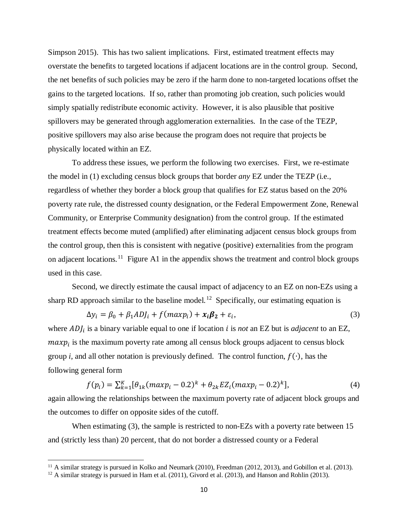Simpson 2015). This has two salient implications. First, estimated treatment effects may overstate the benefits to targeted locations if adjacent locations are in the control group. Second, the net benefits of such policies may be zero if the harm done to non-targeted locations offset the gains to the targeted locations. If so, rather than promoting job creation, such policies would simply spatially redistribute economic activity. However, it is also plausible that positive spillovers may be generated through agglomeration externalities. In the case of the TEZP, positive spillovers may also arise because the program does not require that projects be physically located within an EZ.

To address these issues, we perform the following two exercises. First, we re-estimate the model in (1) excluding census block groups that border *any* EZ under the TEZP (i.e., regardless of whether they border a block group that qualifies for EZ status based on the 20% poverty rate rule, the distressed county designation, or the Federal Empowerment Zone, Renewal Community, or Enterprise Community designation) from the control group. If the estimated treatment effects become muted (amplified) after eliminating adjacent census block groups from the control group, then this is consistent with negative (positive) externalities from the program on adjacent locations.<sup>[11](#page-11-0)</sup> Figure A1 in the appendix shows the treatment and control block groups used in this case.

Second, we directly estimate the causal impact of adjacency to an EZ on non-EZs using a sharp RD approach similar to the baseline model.<sup>[12](#page-11-1)</sup> Specifically, our estimating equation is

$$
\Delta y_i = \beta_0 + \beta_1 ADJ_i + f(maxp_i) + x_i \beta_2 + \varepsilon_i,
$$
\n(3)

where  $ADJ_i$  is a binary variable equal to one if location  $i$  is *not* an EZ but is *adjacent* to an EZ,  $maxp_i$  is the maximum poverty rate among all census block groups adjacent to census block group *i*, and all other notation is previously defined. The control function,  $f(\cdot)$ , has the following general form

$$
f(p_i) = \sum_{k=1}^{K} [\theta_{1k}(max p_i - 0.2)^k + \theta_{2k} EZ_i(max p_i - 0.2)^k],
$$
 (4)

again allowing the relationships between the maximum poverty rate of adjacent block groups and the outcomes to differ on opposite sides of the cutoff.

When estimating (3), the sample is restricted to non-EZs with a poverty rate between 15 and (strictly less than) 20 percent, that do not border a distressed county or a Federal

l

<span id="page-11-0"></span><sup>&</sup>lt;sup>11</sup> A similar strategy is pursued in Kolko and Neumark (2010), Freedman (2012, 2013), and Gobillon et al. (2013). <sup>12</sup> A similar strategy is pursued in Ham et al. (2011), Givord et al. (2013), and Hanson and Rohlin (2013

<span id="page-11-1"></span>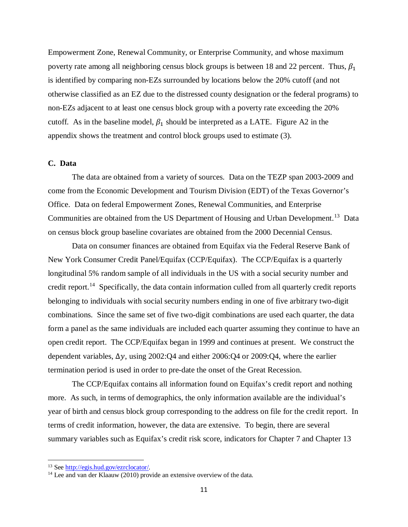Empowerment Zone, Renewal Community, or Enterprise Community, and whose maximum poverty rate among all neighboring census block groups is between 18 and 22 percent. Thus,  $\beta_1$ is identified by comparing non-EZs surrounded by locations below the 20% cutoff (and not otherwise classified as an EZ due to the distressed county designation or the federal programs) to non-EZs adjacent to at least one census block group with a poverty rate exceeding the 20% cutoff. As in the baseline model,  $\beta_1$  should be interpreted as a LATE. Figure A2 in the appendix shows the treatment and control block groups used to estimate (3).

#### **C. Data**

The data are obtained from a variety of sources. Data on the TEZP span 2003-2009 and come from the Economic Development and Tourism Division (EDT) of the Texas Governor's Office. Data on federal Empowerment Zones, Renewal Communities, and Enterprise Communities are obtained from the US Department of Housing and Urban Development.<sup>[13](#page-12-0)</sup> Data on census block group baseline covariates are obtained from the 2000 Decennial Census.

Data on consumer finances are obtained from Equifax via the Federal Reserve Bank of New York Consumer Credit Panel/Equifax (CCP/Equifax). The CCP/Equifax is a quarterly longitudinal 5% random sample of all individuals in the US with a social security number and credit report.<sup>14</sup> Specifically, the data contain information culled from all quarterly credit reports belonging to individuals with social security numbers ending in one of five arbitrary two-digit combinations. Since the same set of five two-digit combinations are used each quarter, the data form a panel as the same individuals are included each quarter assuming they continue to have an open credit report. The CCP/Equifax began in 1999 and continues at present. We construct the dependent variables,  $\Delta y$ , using 2002:Q4 and either 2006:Q4 or 2009:Q4, where the earlier termination period is used in order to pre-date the onset of the Great Recession.

The CCP/Equifax contains all information found on Equifax's credit report and nothing more. As such, in terms of demographics, the only information available are the individual's year of birth and census block group corresponding to the address on file for the credit report. In terms of credit information, however, the data are extensive. To begin, there are several summary variables such as Equifax's credit risk score, indicators for Chapter 7 and Chapter 13

<sup>&</sup>lt;sup>13</sup> See http://egis.hud.gov/ezrclocator/.

<span id="page-12-1"></span><span id="page-12-0"></span><sup>&</sup>lt;sup>14</sup> Lee and van der Klaauw (2010) provide an extensive overview of the data.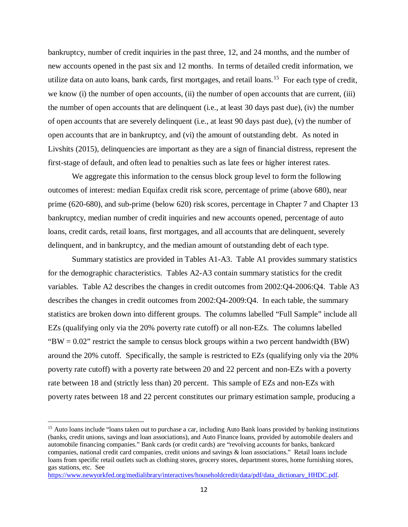bankruptcy, number of credit inquiries in the past three, 12, and 24 months, and the number of new accounts opened in the past six and 12 months. In terms of detailed credit information, we utilize data on auto loans, bank cards, first mortgages, and retail loans.<sup>[15](#page-13-0)</sup> For each type of credit, we know (i) the number of open accounts, (ii) the number of open accounts that are current, (iii) the number of open accounts that are delinquent (i.e., at least 30 days past due), (iv) the number of open accounts that are severely delinquent (i.e., at least 90 days past due), (v) the number of open accounts that are in bankruptcy, and (vi) the amount of outstanding debt. As noted in Livshits (2015), delinquencies are important as they are a sign of financial distress, represent the first-stage of default, and often lead to penalties such as late fees or higher interest rates.

We aggregate this information to the census block group level to form the following outcomes of interest: median Equifax credit risk score, percentage of prime (above 680), near prime (620-680), and sub-prime (below 620) risk scores, percentage in Chapter 7 and Chapter 13 bankruptcy, median number of credit inquiries and new accounts opened, percentage of auto loans, credit cards, retail loans, first mortgages, and all accounts that are delinquent, severely delinquent, and in bankruptcy, and the median amount of outstanding debt of each type.

Summary statistics are provided in Tables A1-A3. Table A1 provides summary statistics for the demographic characteristics. Tables A2-A3 contain summary statistics for the credit variables. Table A2 describes the changes in credit outcomes from 2002:Q4-2006:Q4. Table A3 describes the changes in credit outcomes from 2002:Q4-2009:Q4. In each table, the summary statistics are broken down into different groups. The columns labelled "Full Sample" include all EZs (qualifying only via the 20% poverty rate cutoff) or all non-EZs. The columns labelled " $BW = 0.02$ " restrict the sample to census block groups within a two percent bandwidth (BW) around the 20% cutoff. Specifically, the sample is restricted to EZs (qualifying only via the 20% poverty rate cutoff) with a poverty rate between 20 and 22 percent and non-EZs with a poverty rate between 18 and (strictly less than) 20 percent. This sample of EZs and non-EZs with poverty rates between 18 and 22 percent constitutes our primary estimation sample, producing a

l

<span id="page-13-0"></span><sup>&</sup>lt;sup>15</sup> Auto loans include "loans taken out to purchase a car, including Auto Bank loans provided by banking institutions (banks, credit unions, savings and loan associations), and Auto Finance loans, provided by automobile dealers and automobile financing companies." Bank cards (or credit cards) are "revolving accounts for banks, bankcard companies, national credit card companies, credit unions and savings & loan associations." Retail loans include loans from specific retail outlets such as clothing stores, grocery stores, department stores, home furnishing stores, gas stations, etc. See

[https://www.newyorkfed.org/medialibrary/interactives/householdcredit/data/pdf/data\\_dictionary\\_HHDC.pdf.](https://www.newyorkfed.org/medialibrary/interactives/householdcredit/data/pdf/data_dictionary_HHDC.pdf)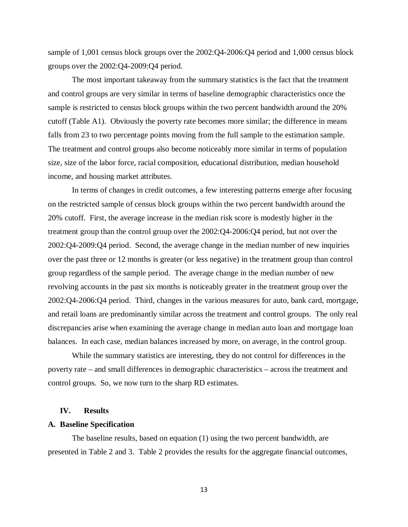sample of 1,001 census block groups over the 2002:Q4-2006:Q4 period and 1,000 census block groups over the 2002:Q4-2009:Q4 period.

The most important takeaway from the summary statistics is the fact that the treatment and control groups are very similar in terms of baseline demographic characteristics once the sample is restricted to census block groups within the two percent bandwidth around the 20% cutoff (Table A1). Obviously the poverty rate becomes more similar; the difference in means falls from 23 to two percentage points moving from the full sample to the estimation sample. The treatment and control groups also become noticeably more similar in terms of population size, size of the labor force, racial composition, educational distribution, median household income, and housing market attributes.

In terms of changes in credit outcomes, a few interesting patterns emerge after focusing on the restricted sample of census block groups within the two percent bandwidth around the 20% cutoff. First, the average increase in the median risk score is modestly higher in the treatment group than the control group over the 2002:Q4-2006:Q4 period, but not over the 2002:Q4-2009:Q4 period. Second, the average change in the median number of new inquiries over the past three or 12 months is greater (or less negative) in the treatment group than control group regardless of the sample period. The average change in the median number of new revolving accounts in the past six months is noticeably greater in the treatment group over the 2002:Q4-2006:Q4 period. Third, changes in the various measures for auto, bank card, mortgage, and retail loans are predominantly similar across the treatment and control groups. The only real discrepancies arise when examining the average change in median auto loan and mortgage loan balances. In each case, median balances increased by more, on average, in the control group.

While the summary statistics are interesting, they do not control for differences in the poverty rate – and small differences in demographic characteristics – across the treatment and control groups. So, we now turn to the sharp RD estimates.

#### **IV. Results**

#### **A. Baseline Specification**

The baseline results, based on equation (1) using the two percent bandwidth, are presented in Table 2 and 3. Table 2 provides the results for the aggregate financial outcomes,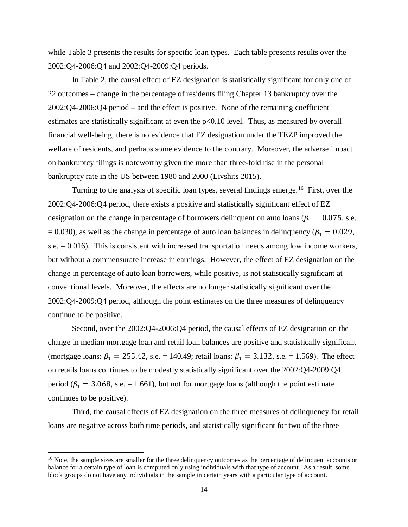while Table 3 presents the results for specific loan types. Each table presents results over the 2002:Q4-2006:Q4 and 2002:Q4-2009:Q4 periods.

In Table 2, the causal effect of EZ designation is statistically significant for only one of 22 outcomes – change in the percentage of residents filing Chapter 13 bankruptcy over the 2002:Q4-2006:Q4 period – and the effect is positive. None of the remaining coefficient estimates are statistically significant at even the p<0.10 level. Thus, as measured by overall financial well-being, there is no evidence that EZ designation under the TEZP improved the welfare of residents, and perhaps some evidence to the contrary. Moreover, the adverse impact on bankruptcy filings is noteworthy given the more than three-fold rise in the personal bankruptcy rate in the US between 1980 and 2000 (Livshits 2015).

Turning to the analysis of specific loan types, several findings emerge.<sup>16</sup> First, over the 2002:Q4-2006:Q4 period, there exists a positive and statistically significant effect of EZ designation on the change in percentage of borrowers delinquent on auto loans ( $\beta_1 = 0.075$ , s.e. = 0.030), as well as the change in percentage of auto loan balances in delinquency ( $\beta_1 = 0.029$ , s.e.  $= 0.016$ ). This is consistent with increased transportation needs among low income workers, but without a commensurate increase in earnings. However, the effect of EZ designation on the change in percentage of auto loan borrowers, while positive, is not statistically significant at conventional levels. Moreover, the effects are no longer statistically significant over the 2002:Q4-2009:Q4 period, although the point estimates on the three measures of delinquency continue to be positive.

Second, over the 2002:Q4-2006:Q4 period, the causal effects of EZ designation on the change in median mortgage loan and retail loan balances are positive and statistically significant (mortgage loans:  $\beta_1 = 255.42$ , s.e. = 140.49; retail loans:  $\beta_1 = 3.132$ , s.e. = 1.569). The effect on retails loans continues to be modestly statistically significant over the 2002:Q4-2009:Q4 period ( $\beta_1 = 3.068$ , s.e. = 1.661), but not for mortgage loans (although the point estimate continues to be positive).

Third, the causal effects of EZ designation on the three measures of delinquency for retail loans are negative across both time periods, and statistically significant for two of the three

l

<span id="page-15-0"></span><sup>&</sup>lt;sup>16</sup> Note, the sample sizes are smaller for the three delinquency outcomes as the percentage of delinquent accounts or balance for a certain type of loan is computed only using individuals with that type of account. As a result, some block groups do not have any individuals in the sample in certain years with a particular type of account.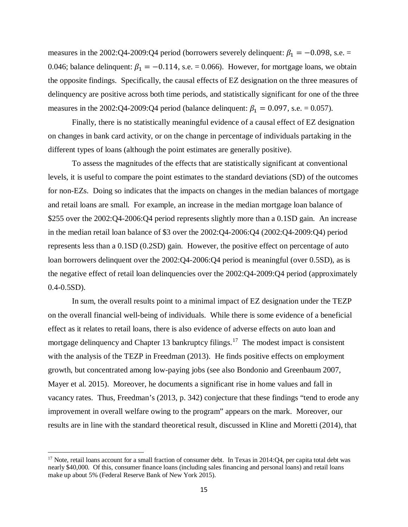measures in the 2002:Q4-2009:Q4 period (borrowers severely delinquent:  $\beta_1 = -0.098$ , s.e. = 0.046; balance delinquent:  $\beta_1 = -0.114$ , s.e. = 0.066). However, for mortgage loans, we obtain the opposite findings. Specifically, the causal effects of EZ designation on the three measures of delinquency are positive across both time periods, and statistically significant for one of the three measures in the 2002:Q4-2009:Q4 period (balance delinquent:  $\beta_1 = 0.097$ , s.e. = 0.057).

Finally, there is no statistically meaningful evidence of a causal effect of EZ designation on changes in bank card activity, or on the change in percentage of individuals partaking in the different types of loans (although the point estimates are generally positive).

To assess the magnitudes of the effects that are statistically significant at conventional levels, it is useful to compare the point estimates to the standard deviations (SD) of the outcomes for non-EZs. Doing so indicates that the impacts on changes in the median balances of mortgage and retail loans are small. For example, an increase in the median mortgage loan balance of \$255 over the 2002:Q4-2006:Q4 period represents slightly more than a 0.1SD gain. An increase in the median retail loan balance of \$3 over the 2002:Q4-2006:Q4 (2002:Q4-2009:Q4) period represents less than a 0.1SD (0.2SD) gain. However, the positive effect on percentage of auto loan borrowers delinquent over the 2002:Q4-2006:Q4 period is meaningful (over 0.5SD), as is the negative effect of retail loan delinquencies over the 2002:Q4-2009:Q4 period (approximately 0.4-0.5SD).

In sum, the overall results point to a minimal impact of EZ designation under the TEZP on the overall financial well-being of individuals. While there is some evidence of a beneficial effect as it relates to retail loans, there is also evidence of adverse effects on auto loan and mortgage delinquency and Chapter 13 bankruptcy filings.<sup>17</sup> The modest impact is consistent with the analysis of the TEZP in Freedman (2013). He finds positive effects on employment growth, but concentrated among low-paying jobs (see also Bondonio and Greenbaum 2007, Mayer et al. 2015). Moreover, he documents a significant rise in home values and fall in vacancy rates. Thus, Freedman's (2013, p. 342) conjecture that these findings "tend to erode any improvement in overall welfare owing to the program" appears on the mark. Moreover, our results are in line with the standard theoretical result, discussed in Kline and Moretti (2014), that

l

<span id="page-16-0"></span> $17$  Note, retail loans account for a small fraction of consumer debt. In Texas in 2014:Q4, per capita total debt was nearly \$40,000. Of this, consumer finance loans (including sales financing and personal loans) and retail loans make up about 5% (Federal Reserve Bank of New York 2015).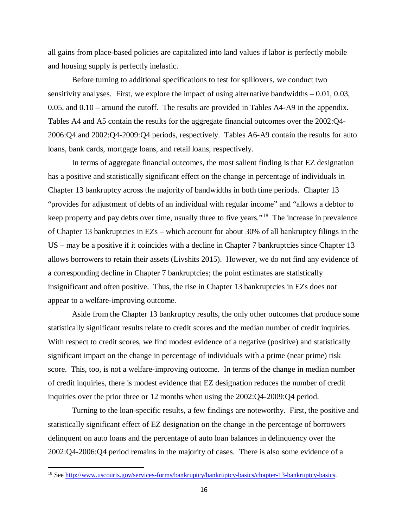all gains from place-based policies are capitalized into land values if labor is perfectly mobile and housing supply is perfectly inelastic.

Before turning to additional specifications to test for spillovers, we conduct two sensitivity analyses. First, we explore the impact of using alternative bandwidths  $-0.01, 0.03$ , 0.05, and 0.10 – around the cutoff. The results are provided in Tables A4-A9 in the appendix. Tables A4 and A5 contain the results for the aggregate financial outcomes over the 2002:Q4- 2006:Q4 and 2002:Q4-2009:Q4 periods, respectively. Tables A6-A9 contain the results for auto loans, bank cards, mortgage loans, and retail loans, respectively.

In terms of aggregate financial outcomes, the most salient finding is that EZ designation has a positive and statistically significant effect on the change in percentage of individuals in Chapter 13 bankruptcy across the majority of bandwidths in both time periods. Chapter 13 "provides for adjustment of debts of an individual with regular income" and "allows a debtor to keep property and pay debts over time, usually three to five years."[18](#page-17-0) The increase in prevalence of Chapter 13 bankruptcies in EZs – which account for about 30% of all bankruptcy filings in the US – may be a positive if it coincides with a decline in Chapter 7 bankruptcies since Chapter 13 allows borrowers to retain their assets (Livshits 2015). However, we do not find any evidence of a corresponding decline in Chapter 7 bankruptcies; the point estimates are statistically insignificant and often positive. Thus, the rise in Chapter 13 bankruptcies in EZs does not appear to a welfare-improving outcome.

Aside from the Chapter 13 bankruptcy results, the only other outcomes that produce some statistically significant results relate to credit scores and the median number of credit inquiries. With respect to credit scores, we find modest evidence of a negative (positive) and statistically significant impact on the change in percentage of individuals with a prime (near prime) risk score. This, too, is not a welfare-improving outcome. In terms of the change in median number of credit inquiries, there is modest evidence that EZ designation reduces the number of credit inquiries over the prior three or 12 months when using the 2002:Q4-2009:Q4 period.

Turning to the loan-specific results, a few findings are noteworthy. First, the positive and statistically significant effect of EZ designation on the change in the percentage of borrowers delinquent on auto loans and the percentage of auto loan balances in delinquency over the 2002:Q4-2006:Q4 period remains in the majority of cases. There is also some evidence of a

 $\overline{\phantom{a}}$ 

<span id="page-17-0"></span><sup>18</sup> See [http://www.uscourts.gov/services-forms/bankruptcy/bankruptcy-basics/chapter-13-bankruptcy-basics.](http://www.uscourts.gov/services-forms/bankruptcy/bankruptcy-basics/chapter-13-bankruptcy-basics)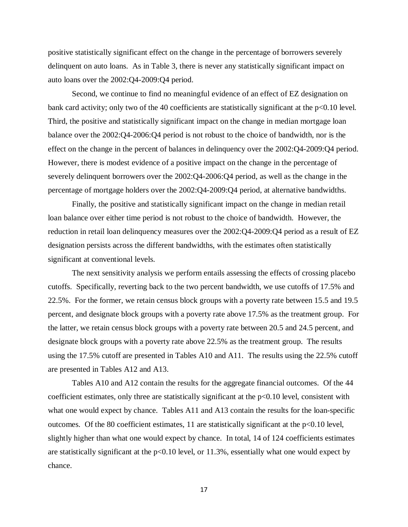positive statistically significant effect on the change in the percentage of borrowers severely delinquent on auto loans. As in Table 3, there is never any statistically significant impact on auto loans over the 2002:Q4-2009:Q4 period.

Second, we continue to find no meaningful evidence of an effect of EZ designation on bank card activity; only two of the 40 coefficients are statistically significant at the  $p<0.10$  level. Third, the positive and statistically significant impact on the change in median mortgage loan balance over the 2002:Q4-2006:Q4 period is not robust to the choice of bandwidth, nor is the effect on the change in the percent of balances in delinquency over the 2002:Q4-2009:Q4 period. However, there is modest evidence of a positive impact on the change in the percentage of severely delinquent borrowers over the 2002:Q4-2006:Q4 period, as well as the change in the percentage of mortgage holders over the 2002:Q4-2009:Q4 period, at alternative bandwidths.

Finally, the positive and statistically significant impact on the change in median retail loan balance over either time period is not robust to the choice of bandwidth. However, the reduction in retail loan delinquency measures over the 2002:Q4-2009:Q4 period as a result of EZ designation persists across the different bandwidths, with the estimates often statistically significant at conventional levels.

The next sensitivity analysis we perform entails assessing the effects of crossing placebo cutoffs. Specifically, reverting back to the two percent bandwidth, we use cutoffs of 17.5% and 22.5%. For the former, we retain census block groups with a poverty rate between 15.5 and 19.5 percent, and designate block groups with a poverty rate above 17.5% as the treatment group. For the latter, we retain census block groups with a poverty rate between 20.5 and 24.5 percent, and designate block groups with a poverty rate above 22.5% as the treatment group. The results using the 17.5% cutoff are presented in Tables A10 and A11. The results using the 22.5% cutoff are presented in Tables A12 and A13.

Tables A10 and A12 contain the results for the aggregate financial outcomes. Of the 44 coefficient estimates, only three are statistically significant at the  $p<0.10$  level, consistent with what one would expect by chance. Tables A11 and A13 contain the results for the loan-specific outcomes. Of the 80 coefficient estimates, 11 are statistically significant at the p<0.10 level, slightly higher than what one would expect by chance. In total, 14 of 124 coefficients estimates are statistically significant at the  $p<0.10$  level, or 11.3%, essentially what one would expect by chance.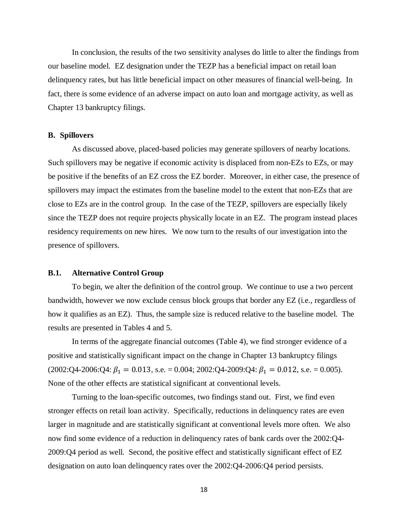In conclusion, the results of the two sensitivity analyses do little to alter the findings from our baseline model. EZ designation under the TEZP has a beneficial impact on retail loan delinquency rates, but has little beneficial impact on other measures of financial well-being. In fact, there is some evidence of an adverse impact on auto loan and mortgage activity, as well as Chapter 13 bankruptcy filings.

#### **B. Spillovers**

As discussed above, placed-based policies may generate spillovers of nearby locations. Such spillovers may be negative if economic activity is displaced from non-EZs to EZs, or may be positive if the benefits of an EZ cross the EZ border. Moreover, in either case, the presence of spillovers may impact the estimates from the baseline model to the extent that non-EZs that are close to EZs are in the control group. In the case of the TEZP, spillovers are especially likely since the TEZP does not require projects physically locate in an EZ. The program instead places residency requirements on new hires. We now turn to the results of our investigation into the presence of spillovers.

#### **B.1. Alternative Control Group**

To begin, we alter the definition of the control group. We continue to use a two percent bandwidth, however we now exclude census block groups that border any EZ (i.e., regardless of how it qualifies as an EZ). Thus, the sample size is reduced relative to the baseline model. The results are presented in Tables 4 and 5.

In terms of the aggregate financial outcomes (Table 4), we find stronger evidence of a positive and statistically significant impact on the change in Chapter 13 bankruptcy filings  $(2002:Q4-2006:Q4: \beta_1 = 0.013, \text{ s.e.} = 0.004; 2002:Q4-2009:Q4: \beta_1 = 0.012, \text{ s.e.} = 0.005).$ None of the other effects are statistical significant at conventional levels.

Turning to the loan-specific outcomes, two findings stand out. First, we find even stronger effects on retail loan activity. Specifically, reductions in delinquency rates are even larger in magnitude and are statistically significant at conventional levels more often. We also now find some evidence of a reduction in delinquency rates of bank cards over the 2002:Q4- 2009:Q4 period as well. Second, the positive effect and statistically significant effect of EZ designation on auto loan delinquency rates over the 2002:Q4-2006:Q4 period persists.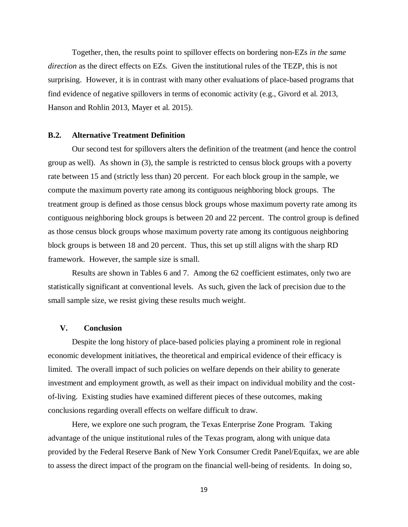Together, then, the results point to spillover effects on bordering non-EZs *in the same direction* as the direct effects on EZs. Given the institutional rules of the TEZP, this is not surprising. However, it is in contrast with many other evaluations of place-based programs that find evidence of negative spillovers in terms of economic activity (e.g., Givord et al. 2013, Hanson and Rohlin 2013, Mayer et al. 2015).

#### **B.2. Alternative Treatment Definition**

Our second test for spillovers alters the definition of the treatment (and hence the control group as well). As shown in (3), the sample is restricted to census block groups with a poverty rate between 15 and (strictly less than) 20 percent. For each block group in the sample, we compute the maximum poverty rate among its contiguous neighboring block groups. The treatment group is defined as those census block groups whose maximum poverty rate among its contiguous neighboring block groups is between 20 and 22 percent. The control group is defined as those census block groups whose maximum poverty rate among its contiguous neighboring block groups is between 18 and 20 percent. Thus, this set up still aligns with the sharp RD framework. However, the sample size is small.

Results are shown in Tables 6 and 7. Among the 62 coefficient estimates, only two are statistically significant at conventional levels. As such, given the lack of precision due to the small sample size, we resist giving these results much weight.

#### **V. Conclusion**

Despite the long history of place-based policies playing a prominent role in regional economic development initiatives, the theoretical and empirical evidence of their efficacy is limited. The overall impact of such policies on welfare depends on their ability to generate investment and employment growth, as well as their impact on individual mobility and the costof-living. Existing studies have examined different pieces of these outcomes, making conclusions regarding overall effects on welfare difficult to draw.

Here, we explore one such program, the Texas Enterprise Zone Program. Taking advantage of the unique institutional rules of the Texas program, along with unique data provided by the Federal Reserve Bank of New York Consumer Credit Panel/Equifax, we are able to assess the direct impact of the program on the financial well-being of residents. In doing so,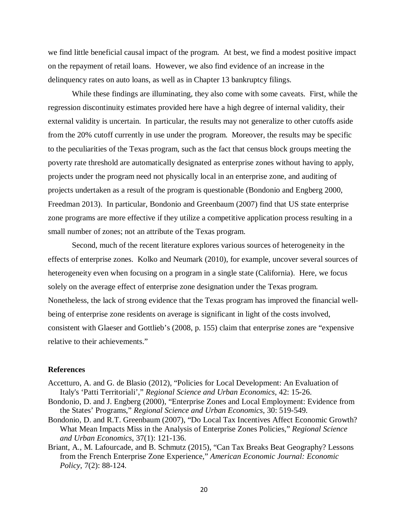we find little beneficial causal impact of the program. At best, we find a modest positive impact on the repayment of retail loans. However, we also find evidence of an increase in the delinquency rates on auto loans, as well as in Chapter 13 bankruptcy filings.

While these findings are illuminating, they also come with some caveats. First, while the regression discontinuity estimates provided here have a high degree of internal validity, their external validity is uncertain. In particular, the results may not generalize to other cutoffs aside from the 20% cutoff currently in use under the program. Moreover, the results may be specific to the peculiarities of the Texas program, such as the fact that census block groups meeting the poverty rate threshold are automatically designated as enterprise zones without having to apply, projects under the program need not physically local in an enterprise zone, and auditing of projects undertaken as a result of the program is questionable (Bondonio and Engberg 2000, Freedman 2013). In particular, Bondonio and Greenbaum (2007) find that US state enterprise zone programs are more effective if they utilize a competitive application process resulting in a small number of zones; not an attribute of the Texas program.

Second, much of the recent literature explores various sources of heterogeneity in the effects of enterprise zones. Kolko and Neumark (2010), for example, uncover several sources of heterogeneity even when focusing on a program in a single state (California). Here, we focus solely on the average effect of enterprise zone designation under the Texas program. Nonetheless, the lack of strong evidence that the Texas program has improved the financial wellbeing of enterprise zone residents on average is significant in light of the costs involved, consistent with Glaeser and Gottlieb's (2008, p. 155) claim that enterprise zones are "expensive relative to their achievements."

#### **References**

- Accetturo, A. and G. de Blasio (2012), "Policies for Local Development: An Evaluation of Italy's 'Patti Territoriali'," *Regional Science and Urban Economics*, 42: 15-26.
- Bondonio, D. and J. Engberg (2000), "Enterprise Zones and Local Employment: Evidence from the States' Programs," *Regional Science and Urban Economics*, 30: 519-549.
- Bondonio, D. and R.T. Greenbaum (2007), "Do Local Tax Incentives Affect Economic Growth? What Mean Impacts Miss in the Analysis of Enterprise Zones Policies," *Regional Science and Urban Economics*, 37(1): 121-136.
- Briant, A., M. Lafourcade, and B. Schmutz (2015), "Can Tax Breaks Beat Geography? Lessons from the French Enterprise Zone Experience," *American Economic Journal: Economic Policy*, 7(2): 88-124.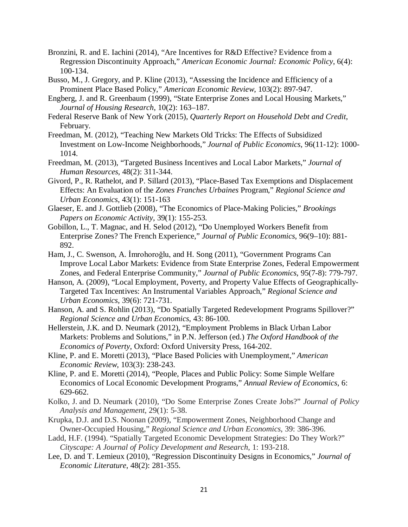- Bronzini, R. and E. Iachini (2014), "Are Incentives for R&D Effective? Evidence from a Regression Discontinuity Approach," *American Economic Journal: Economic Policy*, 6(4): 100-134.
- Busso, M., J. Gregory, and P. Kline (2013), "Assessing the Incidence and Efficiency of a Prominent Place Based Policy," *American Economic Review*, 103(2): 897-947.
- Engberg, J. and R. Greenbaum (1999), "State Enterprise Zones and Local Housing Markets," *Journal of Housing Research*, 10(2): 163–187.
- Federal Reserve Bank of New York (2015), *Quarterly Report on Household Debt and Credit*, February.
- Freedman, M. (2012), "Teaching New Markets Old Tricks: The Effects of Subsidized Investment on Low-Income Neighborhoods," *Journal of Public Economics*, 96(11-12): 1000- 1014.
- Freedman, M. (2013), "Targeted Business Incentives and Local Labor Markets," *Journal of Human Resources*, 48(2): 311-344.
- Givord, P., R. Rathelot, and P. Sillard (2013), "Place-Based Tax Exemptions and Displacement Effects: An Evaluation of the *Zones Franches Urbaines* Program," *Regional Science and Urban Economics*, 43(1): 151-163
- Glaeser, E. and J. Gottlieb (2008), "The Economics of Place-Making Policies," *Brookings Papers on Economic Activity*, 39(1): 155-253.
- Gobillon, L., T. Magnac, and H. Selod (2012), "Do Unemployed Workers Benefit from Enterprise Zones? The French Experience," *Journal of Public Economics*, 96(9–10): 881- 892.
- Ham, J., C. Swenson, A. İmrohoroğlu, and H. Song (2011), "Government Programs Can Improve Local Labor Markets: Evidence from State Enterprise Zones, Federal Empowerment Zones, and Federal Enterprise Community," *Journal of Public Economics*, 95(7-8): 779-797.
- Hanson, A. (2009), "Local Employment, Poverty, and Property Value Effects of Geographically-Targeted Tax Incentives: An Instrumental Variables Approach," *Regional Science and Urban Economics*, 39(6): 721-731.
- Hanson, A. and S. Rohlin (2013), "Do Spatially Targeted Redevelopment Programs Spillover?" *Regional Science and Urban Economics*, 43: 86-100.
- Hellerstein, J.K. and D. Neumark (2012), "Employment Problems in Black Urban Labor Markets: Problems and Solutions," in P.N. Jefferson (ed.) *The Oxford Handbook of the Economics of Poverty*, Oxford: Oxford University Press, 164-202.
- Kline, P. and E. Moretti (2013), "Place Based Policies with Unemployment," *American Economic Review*, 103(3): 238-243.
- Kline, P. and E. Moretti (2014), "People, Places and Public Policy: Some Simple Welfare Economics of Local Economic Development Programs," *Annual Review of Economics*, 6: 629-662.
- Kolko, J. and D. Neumark (2010), "Do Some Enterprise Zones Create Jobs?" *Journal of Policy Analysis and Management*, 29(1): 5-38.
- Krupka, D.J. and D.S. Noonan (2009), "Empowerment Zones, Neighborhood Change and Owner-Occupied Housing," *Regional Science and Urban Economics*, 39: 386-396.
- Ladd, H.F. (1994). "Spatially Targeted Economic Development Strategies: Do They Work?" *Cityscape: A Journal of Policy Development and Research*, 1: 193-218.
- Lee, D. and T. Lemieux (2010), "Regression Discontinuity Designs in Economics," *Journal of Economic Literature*, 48(2): 281-355.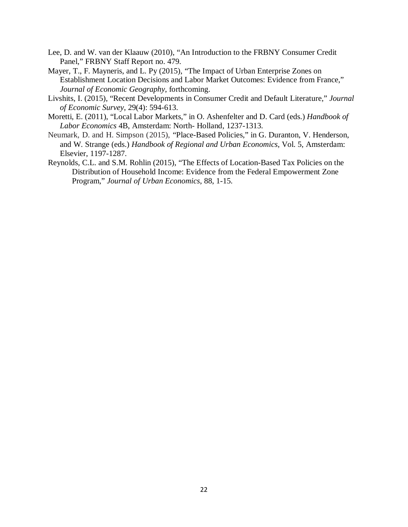- Lee, D. and W. van der Klaauw (2010), "An Introduction to the FRBNY Consumer Credit Panel," FRBNY Staff Report no. 479.
- Mayer, T., F. Mayneris, and L. Py (2015), "The Impact of Urban Enterprise Zones on Establishment Location Decisions and Labor Market Outcomes: Evidence from France," *Journal of Economic Geography*, forthcoming.
- Livshits, I. (2015), "Recent Developments in Consumer Credit and Default Literature," *Journal of Economic Survey*, 29(4): 594-613.
- Moretti, E. (2011), "Local Labor Markets," in O. Ashenfelter and D. Card (eds.) *Handbook of Labor Economics* 4B, Amsterdam: North- Holland, 1237-1313.
- Neumark, D. and H. Simpson (2015), "Place-Based Policies," in G. Duranton, V. Henderson, and W. Strange (eds.) *Handbook of Regional and Urban Economics*, Vol. 5, Amsterdam: Elsevier, 1197-1287.
- Reynolds, C.L. and S.M. Rohlin (2015), "The Effects of Location-Based Tax Policies on the Distribution of Household Income: Evidence from the Federal Empowerment Zone Program," *Journal of Urban Economics*, 88, 1-15.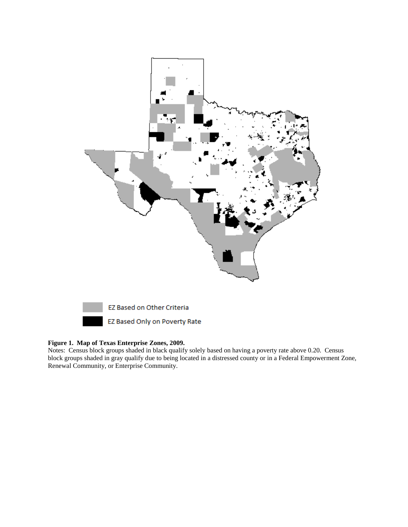

#### **Figure 1. Map of Texas Enterprise Zones, 2009.**

Notes: Census block groups shaded in black qualify solely based on having a poverty rate above 0.20. Census block groups shaded in gray qualify due to being located in a distressed county or in a Federal Empowerment Zone, Renewal Community, or Enterprise Community.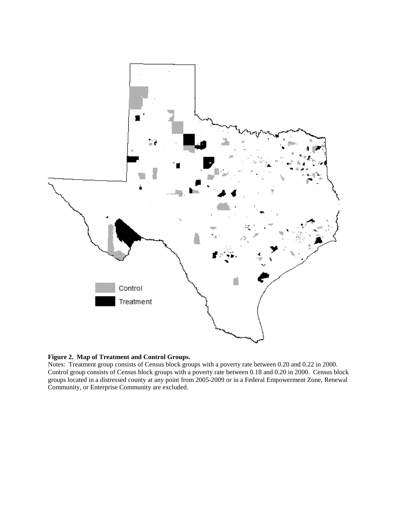

#### **Figure 2. Map of Treatment and Control Groups.**

Notes: Treatment group consists of Census block groups with a poverty rate between 0.20 and 0.22 in 2000. Control group consists of Census block groups with a poverty rate between 0.18 and 0.20 in 2000. Census block groups located in a distressed county at any point from 2005-2009 or in a Federal Empowerment Zone, Renewal Community, or Enterprise Community are excluded.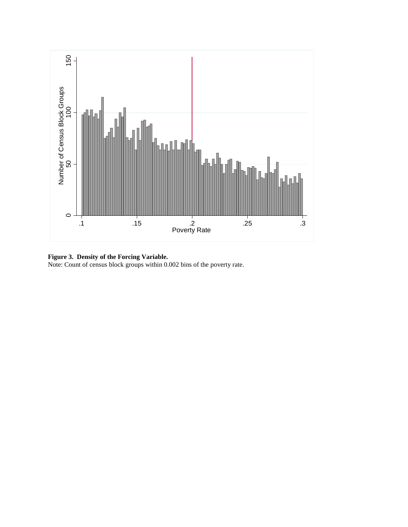

**Figure 3. Density of the Forcing Variable.** Note: Count of census block groups within 0.002 bins of the poverty rate.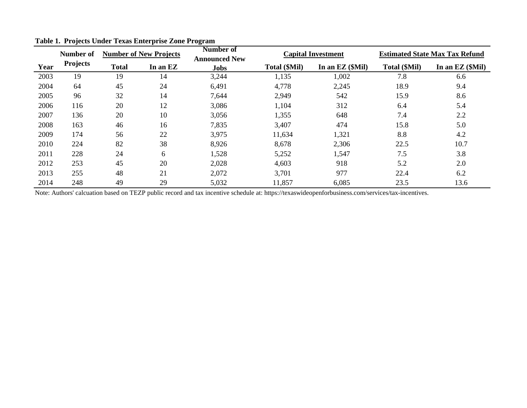|      | Number of       | <b>Number of New Projects</b> |          | Number of<br><b>Announced New</b> |               | <b>Capital Investment</b> | <b>Estimated State Max Tax Refund</b> |                      |  |
|------|-----------------|-------------------------------|----------|-----------------------------------|---------------|---------------------------|---------------------------------------|----------------------|--|
| Year | <b>Projects</b> | <b>Total</b>                  | In an EZ | <b>Jobs</b>                       | Total (\$Mil) | In an $EZ$ ( $Mil$ )      | Total (\$Mil)                         | In an $EZ$ ( $Mil$ ) |  |
| 2003 | 19              | 19                            | 14       | 3,244                             | 1,135         | 1,002                     | 7.8                                   | 6.6                  |  |
| 2004 | 64              | 45                            | 24       | 6,491                             | 4,778         | 2,245                     | 18.9                                  | 9.4                  |  |
| 2005 | 96              | 32                            | 14       | 7,644                             | 2,949         | 542                       | 15.9                                  | 8.6                  |  |
| 2006 | 116             | 20                            | 12       | 3,086                             | 1,104         | 312                       | 6.4                                   | 5.4                  |  |
| 2007 | 136             | 20                            | 10       | 3,056                             | 1,355         | 648                       | 7.4                                   | 2.2                  |  |
| 2008 | 163             | 46                            | 16       | 7,835                             | 3,407         | 474                       | 15.8                                  | 5.0                  |  |
| 2009 | 174             | 56                            | 22       | 3,975                             | 11,634        | 1,321                     | 8.8                                   | 4.2                  |  |
| 2010 | 224             | 82                            | 38       | 8,926                             | 8,678         | 2,306                     | 22.5                                  | 10.7                 |  |
| 2011 | 228             | 24                            | 6        | 1,528                             | 5,252         | 1,547                     | 7.5                                   | 3.8                  |  |
| 2012 | 253             | 45                            | 20       | 2,028                             | 4,603         | 918                       | 5.2                                   | 2.0                  |  |
| 2013 | 255             | 48                            | 21       | 2,072                             | 3,701         | 977                       | 22.4                                  | 6.2                  |  |
| 2014 | 248             | 49                            | 29       | 5,032                             | 11,857        | 6,085                     | 23.5                                  | 13.6                 |  |

**Table 1. Projects Under Texas Enterprise Zone Program**

Note: Authors' calcuation based on TEZP public record and tax incentive schedule at: https://texaswideopenforbusiness.com/services/tax-incentives.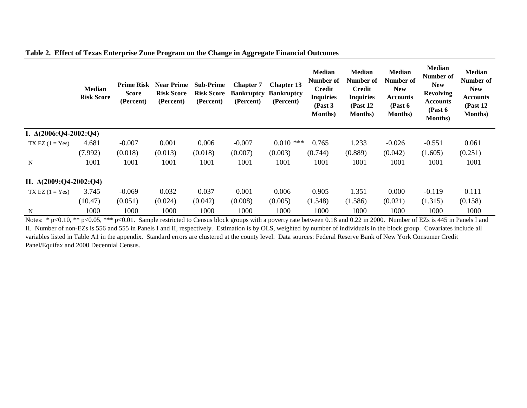#### **Table 2. Effect of Texas Enterprise Zone Program on the Change in Aggregate Financial Outcomes**

|                                 | <b>Median</b><br><b>Risk Score</b> | <b>Prime Risk</b><br><b>Score</b><br>(Percent) | <b>Near Prime</b><br><b>Risk Score</b><br>(Percent) | <b>Sub-Prime</b><br><b>Risk Score</b><br>(Percent) | <b>Chapter 7</b><br><b>Bankruptcy</b><br>(Percent) | <b>Chapter 13</b><br><b>Bankruptcy</b><br>(Percent) | <b>Median</b><br>Number of<br>Credit<br><b>Inquiries</b><br>(Past 3)<br><b>Months</b> ) | <b>Median</b><br>Number of<br><b>Credit</b><br><b>Inquiries</b><br>(Past 12)<br><b>Months</b> ) | <b>Median</b><br>Number of<br><b>New</b><br><b>Accounts</b><br>(Past 6)<br>Months) | <b>Median</b><br>Number of<br><b>New</b><br><b>Revolving</b><br><b>Accounts</b><br>(Past 6)<br><b>Months</b> ) | <b>Median</b><br>Number of<br><b>New</b><br><b>Accounts</b><br>(Past 12)<br><b>Months</b> ) |
|---------------------------------|------------------------------------|------------------------------------------------|-----------------------------------------------------|----------------------------------------------------|----------------------------------------------------|-----------------------------------------------------|-----------------------------------------------------------------------------------------|-------------------------------------------------------------------------------------------------|------------------------------------------------------------------------------------|----------------------------------------------------------------------------------------------------------------|---------------------------------------------------------------------------------------------|
| I. $\Delta(2006; Q4-2002; Q4)$  |                                    |                                                |                                                     |                                                    |                                                    |                                                     |                                                                                         |                                                                                                 |                                                                                    |                                                                                                                |                                                                                             |
| $TX$ EZ $(1 = Yes)$             | 4.681                              | $-0.007$                                       | 0.001                                               | 0.006                                              | $-0.007$                                           | $0.010$ ***                                         | 0.765                                                                                   | 1.233                                                                                           | $-0.026$                                                                           | $-0.551$                                                                                                       | 0.061                                                                                       |
|                                 | (7.992)                            | (0.018)                                        | (0.013)                                             | (0.018)                                            | (0.007)                                            | (0.003)                                             | (0.744)                                                                                 | (0.889)                                                                                         | (0.042)                                                                            | (1.605)                                                                                                        | (0.251)                                                                                     |
| N                               | 1001                               | 1001                                           | 1001                                                | 1001                                               | 1001                                               | 1001                                                | 1001                                                                                    | 1001                                                                                            | 1001                                                                               | 1001                                                                                                           | 1001                                                                                        |
| II. $\Delta(2009; Q4-2002; Q4)$ |                                    |                                                |                                                     |                                                    |                                                    |                                                     |                                                                                         |                                                                                                 |                                                                                    |                                                                                                                |                                                                                             |
| $TX$ EZ $(1 = Yes)$             | 3.745                              | $-0.069$                                       | 0.032                                               | 0.037                                              | 0.001                                              | 0.006                                               | 0.905                                                                                   | 1.351                                                                                           | 0.000                                                                              | $-0.119$                                                                                                       | 0.111                                                                                       |
|                                 | (10.47)                            | (0.051)                                        | (0.024)                                             | (0.042)                                            | (0.008)                                            | (0.005)                                             | (1.548)                                                                                 | (1.586)                                                                                         | (0.021)                                                                            | (1.315)                                                                                                        | (0.158)                                                                                     |
| N                               | 1000                               | 1000                                           | 1000                                                | 1000                                               | 1000                                               | 1000                                                | 1000                                                                                    | 1000                                                                                            | 1000                                                                               | 1000                                                                                                           | 1000                                                                                        |

Notes: \* p<0.10, \*\* p<0.05, \*\*\* p<0.01. Sample restricted to Census block groups with a poverty rate between 0.18 and 0.22 in 2000. Number of EZs is 445 in Panels I and II. Number of non-EZs is 556 and 555 in Panels I and II, respectively. Estimation is by OLS, weighted by number of individuals in the block group. Covariates include all variables listed in Table A1 in the appendix. Standard errors are clustered at the county level. Data sources: Federal Reserve Bank of New York Consumer Credit Panel/Equifax and 2000 Decennial Census.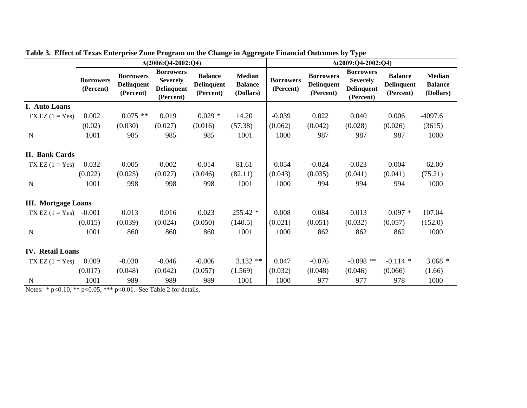|                            |                               |                                                    | $\Delta(2006:Q4-2002:Q4)$                                             |                                                  |                                              | $\Delta(2009; Q4 - 2002; Q4)$ |                                                    |                                                                       |                                                  |                                              |  |  |
|----------------------------|-------------------------------|----------------------------------------------------|-----------------------------------------------------------------------|--------------------------------------------------|----------------------------------------------|-------------------------------|----------------------------------------------------|-----------------------------------------------------------------------|--------------------------------------------------|----------------------------------------------|--|--|
|                            | <b>Borrowers</b><br>(Percent) | <b>Borrowers</b><br><b>Delinquent</b><br>(Percent) | <b>Borrowers</b><br><b>Severely</b><br><b>Delinquent</b><br>(Percent) | <b>Balance</b><br><b>Delinquent</b><br>(Percent) | <b>Median</b><br><b>Balance</b><br>(Dollars) | <b>Borrowers</b><br>(Percent) | <b>Borrowers</b><br><b>Delinquent</b><br>(Percent) | <b>Borrowers</b><br><b>Severely</b><br><b>Delinquent</b><br>(Percent) | <b>Balance</b><br><b>Delinquent</b><br>(Percent) | <b>Median</b><br><b>Balance</b><br>(Dollars) |  |  |
| I. Auto Loans              |                               |                                                    |                                                                       |                                                  |                                              |                               |                                                    |                                                                       |                                                  |                                              |  |  |
| $TX EZ (1 = Yes)$          | 0.002                         | $0.075$ **                                         | 0.019                                                                 | $0.029*$                                         | 14.20                                        | $-0.039$                      | 0.022                                              | 0.040                                                                 | 0.006                                            | $-4097.6$                                    |  |  |
|                            | (0.02)                        | (0.030)                                            | (0.027)                                                               | (0.016)                                          | (57.38)                                      | (0.062)                       | (0.042)                                            | (0.028)                                                               | (0.026)                                          | (3615)                                       |  |  |
| ${\bf N}$                  | 1001                          | 985                                                | 985                                                                   | 985                                              | 1001                                         | 1000                          | 987                                                | 987                                                                   | 987                                              | 1000                                         |  |  |
| <b>II. Bank Cards</b>      |                               |                                                    |                                                                       |                                                  |                                              |                               |                                                    |                                                                       |                                                  |                                              |  |  |
| TX EZ $(1 = Yes)$          | 0.032                         | 0.005                                              | $-0.002$                                                              | $-0.014$                                         | 81.61                                        | 0.054                         | $-0.024$                                           | $-0.023$                                                              | 0.004                                            | 62.00                                        |  |  |
|                            | (0.022)                       | (0.025)                                            | (0.027)                                                               | (0.046)                                          | (82.11)                                      | (0.043)                       | (0.035)                                            | (0.041)                                                               | (0.041)                                          | (75.21)                                      |  |  |
| ${\bf N}$                  | 1001                          | 998                                                | 998                                                                   | 998                                              | 1001                                         | 1000                          | 994                                                | 994                                                                   | 994                                              | 1000                                         |  |  |
| <b>III.</b> Mortgage Loans |                               |                                                    |                                                                       |                                                  |                                              |                               |                                                    |                                                                       |                                                  |                                              |  |  |
| $TX EZ (1 = Yes)$          | $-0.001$                      | 0.013                                              | 0.016                                                                 | 0.023                                            | 255.42 *                                     | 0.008                         | 0.084                                              | 0.013                                                                 | $0.097 *$                                        | 107.04                                       |  |  |
|                            | (0.015)                       | (0.039)                                            | (0.024)                                                               | (0.050)                                          | (140.5)                                      | (0.021)                       | (0.051)                                            | (0.032)                                                               | (0.057)                                          | (152.0)                                      |  |  |
| ${\bf N}$                  | 1001                          | 860                                                | 860                                                                   | 860                                              | 1001                                         | 1000                          | 862                                                | 862                                                                   | 862                                              | 1000                                         |  |  |
| <b>IV.</b> Retail Loans    |                               |                                                    |                                                                       |                                                  |                                              |                               |                                                    |                                                                       |                                                  |                                              |  |  |
| $TX EZ (1 = Yes)$          | 0.009                         | $-0.030$                                           | $-0.046$                                                              | $-0.006$                                         | $3.132**$                                    | 0.047                         | $-0.076$                                           | $-0.098$ **                                                           | $-0.114$ *                                       | $3.068 *$                                    |  |  |
|                            | (0.017)                       | (0.048)                                            | (0.042)                                                               | (0.057)                                          | (1.569)                                      | (0.032)                       | (0.048)                                            | (0.046)                                                               | (0.066)                                          | (1.66)                                       |  |  |
| $\mathbf N$                | 1001                          | 989                                                | 989                                                                   | 989                                              | 1001                                         | 1000                          | 977                                                | 977                                                                   | 978                                              | 1000                                         |  |  |

**Table 3. Effect of Texas Enterprise Zone Program on the Change in Aggregate Financial Outcomes by Type**

Notes: \* p<0.10, \*\* p<0.05, \*\*\* p<0.01. See Table 2 for details.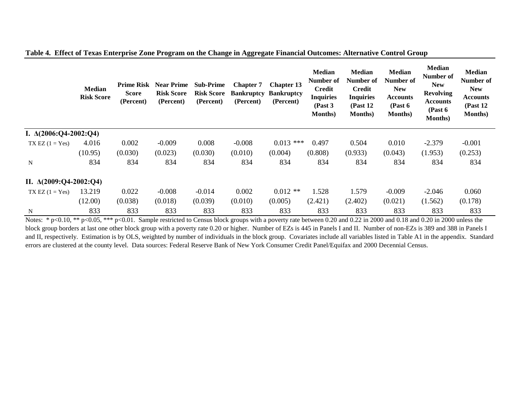|                                 | <b>Median</b><br><b>Risk Score</b> | <b>Prime Risk</b><br><b>Score</b><br>(Percent) | <b>Near Prime</b><br><b>Risk Score</b><br>(Percent) | <b>Sub-Prime</b><br><b>Risk Score</b><br>(Percent) | <b>Chapter 7</b><br><b>Bankruptcy</b><br>(Percent) | <b>Chapter 13</b><br><b>Bankruptcy</b><br>(Percent) | <b>Median</b><br>Number of<br><b>Credit</b><br><b>Inquiries</b><br>(Past 3)<br><b>Months</b> ) | <b>Median</b><br>Number of<br><b>Credit</b><br><b>Inquiries</b><br>(Past 12)<br><b>Months</b> ) | <b>Median</b><br>Number of<br><b>New</b><br><b>Accounts</b><br>(Past 6)<br><b>Months</b> ) | <b>Median</b><br>Number of<br><b>New</b><br><b>Revolving</b><br><b>Accounts</b><br>(Past 6)<br><b>Months</b> ) | <b>Median</b><br>Number of<br><b>New</b><br><b>Accounts</b><br>(Past 12)<br><b>Months</b> ) |
|---------------------------------|------------------------------------|------------------------------------------------|-----------------------------------------------------|----------------------------------------------------|----------------------------------------------------|-----------------------------------------------------|------------------------------------------------------------------------------------------------|-------------------------------------------------------------------------------------------------|--------------------------------------------------------------------------------------------|----------------------------------------------------------------------------------------------------------------|---------------------------------------------------------------------------------------------|
| I. $\Delta(2006; Q4-2002; Q4)$  |                                    |                                                |                                                     |                                                    |                                                    |                                                     |                                                                                                |                                                                                                 |                                                                                            |                                                                                                                |                                                                                             |
| $TX$ EZ $(1 = Yes)$             | 4.016                              | 0.002                                          | $-0.009$                                            | 0.008                                              | $-0.008$                                           | $0.013$ ***                                         | 0.497                                                                                          | 0.504                                                                                           | 0.010                                                                                      | $-2.379$                                                                                                       | $-0.001$                                                                                    |
|                                 | (10.95)                            | (0.030)                                        | (0.023)                                             | (0.030)                                            | (0.010)                                            | (0.004)                                             | (0.808)                                                                                        | (0.933)                                                                                         | (0.043)                                                                                    | (1.953)                                                                                                        | (0.253)                                                                                     |
| $\mathbf N$                     | 834                                | 834                                            | 834                                                 | 834                                                | 834                                                | 834                                                 | 834                                                                                            | 834                                                                                             | 834                                                                                        | 834                                                                                                            | 834                                                                                         |
| II. $\Delta(2009; Q4-2002; Q4)$ |                                    |                                                |                                                     |                                                    |                                                    |                                                     |                                                                                                |                                                                                                 |                                                                                            |                                                                                                                |                                                                                             |
| $TX$ EZ $(1 = Yes)$             | 13.219                             | 0.022                                          | $-0.008$                                            | $-0.014$                                           | 0.002                                              | $0.012$ **                                          | 1.528                                                                                          | 1.579                                                                                           | $-0.009$                                                                                   | $-2.046$                                                                                                       | 0.060                                                                                       |
|                                 | (12.00)                            | (0.038)                                        | (0.018)                                             | (0.039)                                            | (0.010)                                            | (0.005)                                             | (2.421)                                                                                        | (2.402)                                                                                         | (0.021)                                                                                    | (1.562)                                                                                                        | (0.178)                                                                                     |
| $\mathbf N$                     | 833                                | 833                                            | 833                                                 | 833                                                | 833                                                | 833                                                 | 833                                                                                            | 833                                                                                             | 833                                                                                        | 833                                                                                                            | 833                                                                                         |

**Table 4. Effect of Texas Enterprise Zone Program on the Change in Aggregate Financial Outcomes: Alternative Control Group**

Notes: \* p<0.10, \*\* p<0.05, \*\*\* p<0.01. Sample restricted to Census block groups with a poverty rate between 0.20 and 0.22 in 2000 and 0.18 and 0.20 in 2000 unless the block group borders at last one other block group with a poverty rate 0.20 or higher. Number of EZs is 445 in Panels I and II. Number of non-EZs is 389 and 388 in Panels I and II, respectively. Estimation is by OLS, weighted by number of individuals in the block group. Covariates include all variables listed in Table A1 in the appendix. Standard errors are clustered at the county level. Data sources: Federal Reserve Bank of New York Consumer Credit Panel/Equifax and 2000 Decennial Census.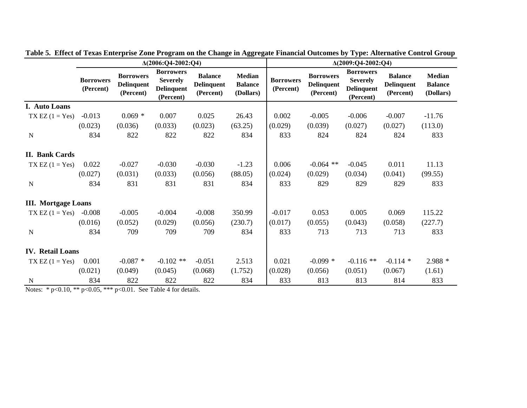|                            |                               |                                                    | $\Delta(2006; Q4 - 2002; Q4)$                                         |                                                  |                                              | $\Delta(2009; Q4 - 2002; Q4)$ |                                                    |                                                                       |                                                  |                                              |  |  |
|----------------------------|-------------------------------|----------------------------------------------------|-----------------------------------------------------------------------|--------------------------------------------------|----------------------------------------------|-------------------------------|----------------------------------------------------|-----------------------------------------------------------------------|--------------------------------------------------|----------------------------------------------|--|--|
|                            | <b>Borrowers</b><br>(Percent) | <b>Borrowers</b><br><b>Delinquent</b><br>(Percent) | <b>Borrowers</b><br><b>Severely</b><br><b>Delinquent</b><br>(Percent) | <b>Balance</b><br><b>Delinquent</b><br>(Percent) | <b>Median</b><br><b>Balance</b><br>(Dollars) | <b>Borrowers</b><br>(Percent) | <b>Borrowers</b><br><b>Delinquent</b><br>(Percent) | <b>Borrowers</b><br><b>Severely</b><br><b>Delinquent</b><br>(Percent) | <b>Balance</b><br><b>Delinquent</b><br>(Percent) | <b>Median</b><br><b>Balance</b><br>(Dollars) |  |  |
| I. Auto Loans              |                               |                                                    |                                                                       |                                                  |                                              |                               |                                                    |                                                                       |                                                  |                                              |  |  |
| $TX EZ (1 = Yes)$          | $-0.013$                      | $0.069*$                                           | 0.007                                                                 | 0.025                                            | 26.43                                        | 0.002                         | $-0.005$                                           | $-0.006$                                                              | $-0.007$                                         | $-11.76$                                     |  |  |
|                            | (0.023)                       | (0.036)                                            | (0.033)                                                               | (0.023)                                          | (63.25)                                      | (0.029)                       | (0.039)                                            | (0.027)                                                               | (0.027)                                          | (113.0)                                      |  |  |
| N                          | 834                           | 822                                                | 822                                                                   | 822                                              | 834                                          | 833                           | 824                                                | 824                                                                   | 824                                              | 833                                          |  |  |
| <b>II. Bank Cards</b>      |                               |                                                    |                                                                       |                                                  |                                              |                               |                                                    |                                                                       |                                                  |                                              |  |  |
| $TX$ EZ $(1 = Yes)$        | 0.022                         | $-0.027$                                           | $-0.030$                                                              | $-0.030$                                         | $-1.23$                                      | 0.006                         | $-0.064$ **                                        | $-0.045$                                                              | 0.011                                            | 11.13                                        |  |  |
|                            | (0.027)                       | (0.031)                                            | (0.033)                                                               | (0.056)                                          | (88.05)                                      | (0.024)                       | (0.029)                                            | (0.034)                                                               | (0.041)                                          | (99.55)                                      |  |  |
| N                          | 834                           | 831                                                | 831                                                                   | 831                                              | 834                                          | 833                           | 829                                                | 829                                                                   | 829                                              | 833                                          |  |  |
| <b>III.</b> Mortgage Loans |                               |                                                    |                                                                       |                                                  |                                              |                               |                                                    |                                                                       |                                                  |                                              |  |  |
| $TX EZ (1 = Yes)$          | $-0.008$                      | $-0.005$                                           | $-0.004$                                                              | $-0.008$                                         | 350.99                                       | $-0.017$                      | 0.053                                              | 0.005                                                                 | 0.069                                            | 115.22                                       |  |  |
|                            | (0.016)                       | (0.052)                                            | (0.029)                                                               | (0.056)                                          | (230.7)                                      | (0.017)                       | (0.055)                                            | (0.043)                                                               | (0.058)                                          | (227.7)                                      |  |  |
| N                          | 834                           | 709                                                | 709                                                                   | 709                                              | 834                                          | 833                           | 713                                                | 713                                                                   | 713                                              | 833                                          |  |  |
| <b>IV. Retail Loans</b>    |                               |                                                    |                                                                       |                                                  |                                              |                               |                                                    |                                                                       |                                                  |                                              |  |  |
| $TX EZ (1 = Yes)$          | 0.001                         | $-0.087$ *                                         | $-0.102$ **                                                           | $-0.051$                                         | 2.513                                        | 0.021                         | $-0.099*$                                          | $-0.116$ **                                                           | $-0.114$ *                                       | 2.988 *                                      |  |  |
|                            | (0.021)                       | (0.049)                                            | (0.045)                                                               | (0.068)                                          | (1.752)                                      | (0.028)                       | (0.056)                                            | (0.051)                                                               | (0.067)                                          | (1.61)                                       |  |  |
| N                          | 834                           | 822                                                | 822                                                                   | 822                                              | 834                                          | 833                           | 813                                                | 813                                                                   | 814                                              | 833                                          |  |  |

**Table 5. Effect of Texas Enterprise Zone Program on the Change in Aggregate Financial Outcomes by Type: Alternative Control Group**

Notes: \* p<0.10, \*\* p<0.05, \*\*\* p<0.01. See Table 4 for details.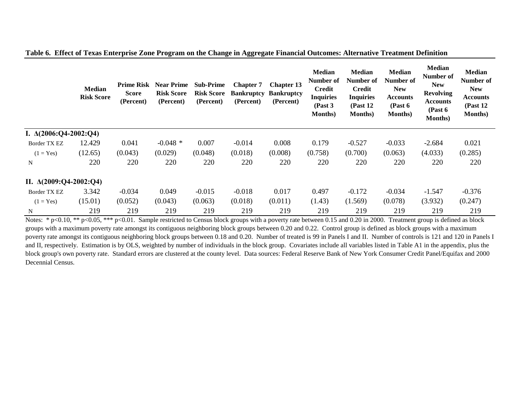|                                | <b>Median</b><br><b>Risk Score</b> | Prime Risk<br><b>Score</b><br>(Percent) | <b>Near Prime</b><br><b>Risk Score</b><br>(Percent) | <b>Sub-Prime</b><br><b>Risk Score</b><br>(Percent) | <b>Chapter 7</b><br><b>Bankruptcy</b><br>(Percent) | <b>Chapter 13</b><br><b>Bankruptcy</b><br>(Percent) | <b>Median</b><br>Number of<br>Credit<br><b>Inquiries</b><br>(Past 3)<br><b>Months</b> ) | <b>Median</b><br>Number of<br><b>Credit</b><br><b>Inquiries</b><br>(Past 12)<br><b>Months</b> ) | <b>Median</b><br>Number of<br><b>New</b><br><b>Accounts</b><br>(Past 6)<br>Months) | <b>Median</b><br>Number of<br><b>New</b><br><b>Revolving</b><br><b>Accounts</b><br>(Past 6)<br><b>Months</b> ) | <b>Median</b><br>Number of<br><b>New</b><br><b>Accounts</b><br>(Past 12)<br><b>Months</b> ) |
|--------------------------------|------------------------------------|-----------------------------------------|-----------------------------------------------------|----------------------------------------------------|----------------------------------------------------|-----------------------------------------------------|-----------------------------------------------------------------------------------------|-------------------------------------------------------------------------------------------------|------------------------------------------------------------------------------------|----------------------------------------------------------------------------------------------------------------|---------------------------------------------------------------------------------------------|
| I. $\Delta(2006; Q4-2002; Q4)$ |                                    |                                         |                                                     |                                                    |                                                    |                                                     |                                                                                         |                                                                                                 |                                                                                    |                                                                                                                |                                                                                             |
| Border TX EZ                   | 12.429                             | 0.041                                   | $-0.048$ *                                          | 0.007                                              | $-0.014$                                           | 0.008                                               | 0.179                                                                                   | $-0.527$                                                                                        | $-0.033$                                                                           | $-2.684$                                                                                                       | 0.021                                                                                       |
| $(1 = Yes)$                    | (12.65)                            | (0.043)                                 | (0.029)                                             | (0.048)                                            | (0.018)                                            | (0.008)                                             | (0.758)                                                                                 | (0.700)                                                                                         | (0.063)                                                                            | (4.033)                                                                                                        | (0.285)                                                                                     |
| $\mathbf N$                    | 220                                | 220                                     | 220                                                 | 220                                                | 220                                                | 220                                                 | 220                                                                                     | 220                                                                                             | 220                                                                                | 220                                                                                                            | 220                                                                                         |
| II. $\Delta(2009:Q4-2002:Q4)$  |                                    |                                         |                                                     |                                                    |                                                    |                                                     |                                                                                         |                                                                                                 |                                                                                    |                                                                                                                |                                                                                             |
| Border TX EZ                   | 3.342                              | $-0.034$                                | 0.049                                               | $-0.015$                                           | $-0.018$                                           | 0.017                                               | 0.497                                                                                   | $-0.172$                                                                                        | $-0.034$                                                                           | $-1.547$                                                                                                       | $-0.376$                                                                                    |
| $(1 = Yes)$                    | (15.01)                            | (0.052)                                 | (0.043)                                             | (0.063)                                            | (0.018)                                            | (0.011)                                             | (1.43)                                                                                  | (1.569)                                                                                         | (0.078)                                                                            | (3.932)                                                                                                        | (0.247)                                                                                     |
| N                              | 219                                | 219                                     | 219                                                 | 219                                                | 219                                                | 219                                                 | 219                                                                                     | 219                                                                                             | 219                                                                                | 219                                                                                                            | 219                                                                                         |

**Table 6. Effect of Texas Enterprise Zone Program on the Change in Aggregate Financial Outcomes: Alternative Treatment Definition**

Notes: \* p<0.10, \*\* p<0.05, \*\*\* p<0.01. Sample restricted to Census block groups with a poverty rate between 0.15 and 0.20 in 2000. Treatment group is defined as block groups with a maximum poverty rate amongst its contiguous neighboring block groups between 0.20 and 0.22. Control group is defined as block groups with a maximum poverty rate amongst its contiguous neighboring block groups between 0.18 and 0.20. Number of treated is 99 in Panels I and II. Number of controls is 121 and 120 in Panels I and II, respectively. Estimation is by OLS, weighted by number of individuals in the block group. Covariates include all variables listed in Table A1 in the appendix, plus the block group's own poverty rate. Standard errors are clustered at the county level. Data sources: Federal Reserve Bank of New York Consumer Credit Panel/Equifax and 2000 Decennial Census.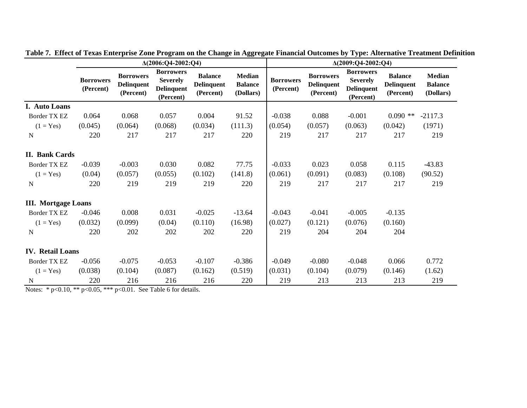|                            |                               |                                                    | $\Delta(2006; Q4 - 2002; Q4)$                                         |                                                  |                                              | $\Delta(2009; Q4 - 2002; Q4)$ |                                                    |                                                                       |                                                  |                                              |  |  |
|----------------------------|-------------------------------|----------------------------------------------------|-----------------------------------------------------------------------|--------------------------------------------------|----------------------------------------------|-------------------------------|----------------------------------------------------|-----------------------------------------------------------------------|--------------------------------------------------|----------------------------------------------|--|--|
|                            | <b>Borrowers</b><br>(Percent) | <b>Borrowers</b><br><b>Delinquent</b><br>(Percent) | <b>Borrowers</b><br><b>Severely</b><br><b>Delinquent</b><br>(Percent) | <b>Balance</b><br><b>Delinquent</b><br>(Percent) | <b>Median</b><br><b>Balance</b><br>(Dollars) | <b>Borrowers</b><br>(Percent) | <b>Borrowers</b><br><b>Delinquent</b><br>(Percent) | <b>Borrowers</b><br><b>Severely</b><br><b>Delinquent</b><br>(Percent) | <b>Balance</b><br><b>Delinquent</b><br>(Percent) | <b>Median</b><br><b>Balance</b><br>(Dollars) |  |  |
| I. Auto Loans              |                               |                                                    |                                                                       |                                                  |                                              |                               |                                                    |                                                                       |                                                  |                                              |  |  |
| Border TX EZ               | 0.064                         | 0.068                                              | 0.057                                                                 | 0.004                                            | 91.52                                        | $-0.038$                      | 0.088                                              | $-0.001$                                                              | $0.090$ **                                       | $-2117.3$                                    |  |  |
| $(1 = Yes)$                | (0.045)                       | (0.064)                                            | (0.068)                                                               | (0.034)                                          | (111.3)                                      | (0.054)                       | (0.057)                                            | (0.063)                                                               | (0.042)                                          | (1971)                                       |  |  |
| N                          | 220                           | 217                                                | 217                                                                   | 217                                              | 220                                          | 219                           | 217                                                | 217                                                                   | 217                                              | 219                                          |  |  |
| <b>II. Bank Cards</b>      |                               |                                                    |                                                                       |                                                  |                                              |                               |                                                    |                                                                       |                                                  |                                              |  |  |
| Border TX EZ               | $-0.039$                      | $-0.003$                                           | 0.030                                                                 | 0.082                                            | 77.75                                        | $-0.033$                      | 0.023                                              | 0.058                                                                 | 0.115                                            | $-43.83$                                     |  |  |
| $(1 = Yes)$                | (0.04)                        | (0.057)                                            | (0.055)                                                               | (0.102)                                          | (141.8)                                      | (0.061)                       | (0.091)                                            | (0.083)                                                               | (0.108)                                          | (90.52)                                      |  |  |
| ${\bf N}$                  | 220                           | 219                                                | 219                                                                   | 219                                              | 220                                          | 219                           | 217                                                | 217                                                                   | 217                                              | 219                                          |  |  |
| <b>III.</b> Mortgage Loans |                               |                                                    |                                                                       |                                                  |                                              |                               |                                                    |                                                                       |                                                  |                                              |  |  |
| <b>Border TX EZ</b>        | $-0.046$                      | 0.008                                              | 0.031                                                                 | $-0.025$                                         | $-13.64$                                     | $-0.043$                      | $-0.041$                                           | $-0.005$                                                              | $-0.135$                                         |                                              |  |  |
| $(1 = Yes)$                | (0.032)                       | (0.099)                                            | (0.04)                                                                | (0.110)                                          | (16.98)                                      | (0.027)                       | (0.121)                                            | (0.076)                                                               | (0.160)                                          |                                              |  |  |
| N                          | 220                           | 202                                                | 202                                                                   | 202                                              | 220                                          | 219                           | 204                                                | 204                                                                   | 204                                              |                                              |  |  |
| <b>IV.</b> Retail Loans    |                               |                                                    |                                                                       |                                                  |                                              |                               |                                                    |                                                                       |                                                  |                                              |  |  |
| Border TX EZ               | $-0.056$                      | $-0.075$                                           | $-0.053$                                                              | $-0.107$                                         | $-0.386$                                     | $-0.049$                      | $-0.080$                                           | $-0.048$                                                              | 0.066                                            | 0.772                                        |  |  |
| $(1 = Yes)$                | (0.038)                       | (0.104)                                            | (0.087)                                                               | (0.162)                                          | (0.519)                                      | (0.031)                       | (0.104)                                            | (0.079)                                                               | (0.146)                                          | (1.62)                                       |  |  |
| $\mathbf N$                | 220                           | 216                                                | 216                                                                   | 216                                              | 220                                          | 219                           | 213                                                | 213                                                                   | 213                                              | 219                                          |  |  |

**Table 7. Effect of Texas Enterprise Zone Program on the Change in Aggregate Financial Outcomes by Type: Alternative Treatment Definition**

Notes: \* p<0.10, \*\* p<0.05, \*\*\* p<0.01. See Table 6 for details.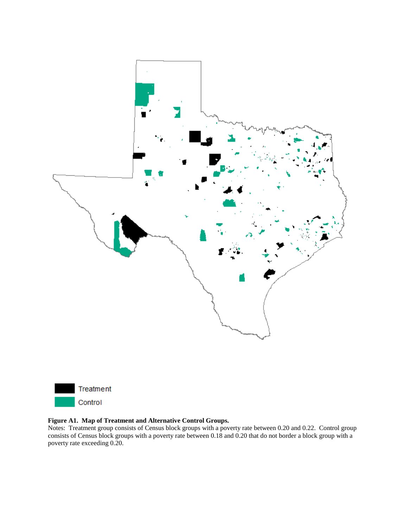



#### **Figure A1. Map of Treatment and Alternative Control Groups.**

Notes: Treatment group consists of Census block groups with a poverty rate between 0.20 and 0.22. Control group consists of Census block groups with a poverty rate between 0.18 and 0.20 that do not border a block group with a poverty rate exceeding 0.20.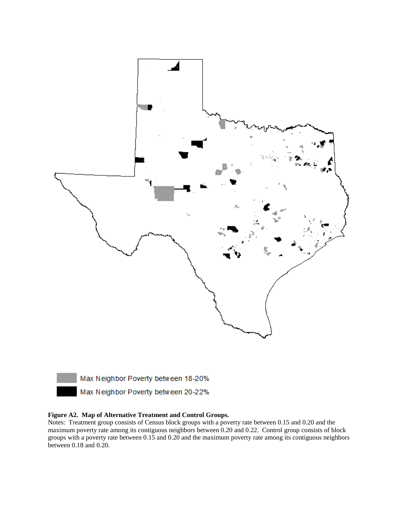



#### **Figure A2. Map of Alternative Treatment and Control Groups.**

Notes: Treatment group consists of Census block groups with a poverty rate between 0.15 and 0.20 and the maximum poverty rate among its contiguous neighbors between 0.20 and 0.22. Control group consists of block groups with a poverty rate between 0.15 and 0.20 and the maximum poverty rate among its contiguous neighbors between 0.18 and 0.20.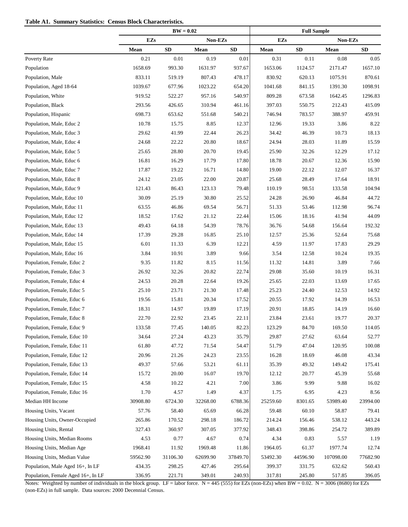|                                    |            | $BW = 0.02$ |          |            |            |            | <b>Full Sample</b> |          |  |  |
|------------------------------------|------------|-------------|----------|------------|------------|------------|--------------------|----------|--|--|
|                                    | <b>EZs</b> |             | Non-EZs  |            | <b>EZs</b> |            | Non-EZs            |          |  |  |
|                                    | Mean       | ${\bf SD}$  | Mean     | ${\bf SD}$ | Mean       | ${\bf SD}$ | Mean               | SD       |  |  |
| Poverty Rate                       | 0.21       | $0.01\,$    | 0.19     | 0.01       | 0.31       | 0.11       | 0.08               | 0.05     |  |  |
| Population                         | 1658.69    | 993.30      | 1631.97  | 937.67     | 1653.06    | 1124.57    | 2171.47            | 1657.10  |  |  |
| Population, Male                   | 833.11     | 519.19      | 807.43   | 478.17     | 830.92     | 620.13     | 1075.91            | 870.61   |  |  |
| Population, Aged 18-64             | 1039.67    | 677.96      | 1023.22  | 654.20     | 1041.68    | 841.15     | 1391.30            | 1098.91  |  |  |
| Population, White                  | 919.52     | 522.27      | 957.16   | 540.97     | 809.28     | 673.58     | 1642.45            | 1296.83  |  |  |
| Population, Black                  | 293.56     | 426.65      | 310.94   | 461.16     | 397.03     | 550.75     | 212.43             | 415.09   |  |  |
| Population, Hispanic               | 698.73     | 653.62      | 551.68   | 540.21     | 746.94     | 783.57     | 388.97             | 459.91   |  |  |
| Population, Male, Educ 2           | 10.78      | 15.75       | 8.85     | 12.37      | 12.96      | 19.33      | 3.86               | 8.22     |  |  |
| Population, Male, Educ 3           | 29.62      | 41.99       | 22.44    | 26.23      | 34.42      | 46.39      | 10.73              | 18.13    |  |  |
| Population, Male, Educ 4           | 24.68      | 22.22       | 20.80    | 18.67      | 24.94      | 28.03      | 11.89              | 15.59    |  |  |
| Population, Male, Educ 5           | 25.65      | 28.80       | 20.70    | 19.45      | 25.90      | 32.26      | 12.29              | 17.12    |  |  |
| Population, Male, Educ 6           | 16.81      | 16.29       | 17.79    | 17.80      | 18.78      | 20.67      | 12.36              | 15.90    |  |  |
| Population, Male, Educ 7           | 17.87      | 19.22       | 16.71    | 14.80      | 19.00      | 22.12      | 12.07              | 16.37    |  |  |
| Population, Male, Educ 8           | 24.12      | 23.05       | 22.00    | 20.87      | 25.68      | 28.49      | 17.64              | 18.91    |  |  |
| Population, Male, Educ 9           | 121.43     | 86.43       | 123.13   | 79.48      | 110.19     | 98.51      | 133.58             | 104.94   |  |  |
| Population, Male, Educ 10          | 30.09      | 25.19       | 30.80    | 25.52      | 24.28      | 26.90      | 46.84              | 44.72    |  |  |
| Population, Male, Educ 11          | 63.55      | 46.86       | 69.54    | 56.71      | 51.33      | 53.46      | 112.98             | 96.74    |  |  |
| Population, Male, Educ 12          | 18.52      | 17.62       | 21.12    | 22.44      | 15.06      | 18.16      | 41.94              | 44.09    |  |  |
| Population, Male, Educ 13          | 49.43      | 64.18       | 54.39    | 78.76      | 36.76      | 54.68      | 156.64             | 192.32   |  |  |
| Population, Male, Educ 14          | 17.39      | 29.28       | 16.85    | 25.10      | 12.57      | 25.36      | 52.64              | 75.68    |  |  |
| Population, Male, Educ 15          | 6.01       | 11.33       | 6.39     | 12.21      | 4.59       | 11.97      | 17.83              | 29.29    |  |  |
| Population, Male, Educ 16          | 3.84       | 10.91       | 3.89     | 9.66       | 3.54       | 12.58      | 10.24              | 19.35    |  |  |
| Population, Female, Educ 2         | 9.35       | 11.82       | 8.15     | 11.56      | 11.32      | 14.81      | 3.89               | 7.66     |  |  |
| Population, Female, Educ 3         | 26.92      | 32.26       | 20.82    | 22.74      | 29.08      | 35.60      | 10.19              | 16.31    |  |  |
| Population, Female, Educ 4         | 24.53      | 20.28       | 22.64    | 19.26      | 25.65      | 22.03      | 13.69              | 17.65    |  |  |
| Population, Female, Educ 5         | 25.10      | 23.71       | 21.30    | 17.48      | 25.23      | 24.40      | 12.53              | 14.92    |  |  |
| Population, Female, Educ 6         | 19.56      | 15.81       | 20.34    | 17.52      | 20.55      | 17.92      | 14.39              | 16.53    |  |  |
| Population, Female, Educ 7         | 18.31      | 14.97       | 19.89    | 17.19      | 20.91      | 18.85      | 14.19              | 16.60    |  |  |
| Population, Female, Educ 8         | 22.70      | 22.92       | 23.45    | 22.11      | 23.84      | 23.61      | 19.77              | 20.37    |  |  |
| Population, Female, Educ 9         | 133.58     | 77.45       | 140.05   | 82.23      | 123.29     | 84.70      | 169.50             | 114.05   |  |  |
| Population, Female, Educ 10        | 34.64      | 27.24       | 43.23    | 35.79      | 29.87      | 27.62      | 63.64              | 52.77    |  |  |
| Population, Female, Educ 11        | 61.80      | 47.72       | 71.54    | 54.47      | 51.79      | 47.04      | 120.95             | 100.08   |  |  |
| Population, Female, Educ 12        | 20.96      | 21.26       | 24.23    | 23.55      | 16.28      | 18.69      | 46.08              | 43.34    |  |  |
| Population, Female, Educ 13        | 49.37      | 57.66       | 53.21    | 61.11      | 35.39      | 49.32      | 149.42             | 175.41   |  |  |
| Population, Female, Educ 14        | 15.72      | 20.00       | 16.07    | 19.70      | 12.12      | 20.77      | 45.39              | 55.68    |  |  |
| Population, Female, Educ 15        | 4.58       | 10.22       | 4.21     | 7.00       | 3.86       | 9.99       | 9.88               | 16.02    |  |  |
| Population, Female, Educ 16        | 1.70       | 4.57        | 1.49     | 4.37       | 1.75       | 6.95       | 4.23               | 8.56     |  |  |
| Median HH Income                   | 30908.80   | 6724.30     | 32268.00 | 6788.36    | 25259.60   | 8301.65    | 53989.40           | 23994.00 |  |  |
| Housing Units, Vacant              | 57.76      | 58.40       | 65.69    | 66.28      | 59.48      | 60.10      | 58.87              | 79.41    |  |  |
| Housing Units, Owner-Occupied      | 265.86     | 170.52      | 298.18   | 186.72     | 214.24     | 156.46     | 538.12             | 443.24   |  |  |
| Housing Units, Rental              | 327.43     | 360.97      | 307.05   | 377.92     | 348.43     | 398.86     | 254.72             | 389.89   |  |  |
| Housing Units, Median Rooms        | 4.53       | 0.77        | 4.67     | 0.74       | 4.34       | 0.83       | 5.57               | 1.19     |  |  |
| Housing Units, Median Age          | 1968.41    | 11.92       | 1969.48  | 11.86      | 1964.05    | 61.37      | 1977.74            | 12.74    |  |  |
| Housing Units, Median Value        | 59562.90   | 31106.30    | 62699.90 | 37849.70   | 53492.30   | 44596.90   | 107098.00          | 77682.90 |  |  |
| Population, Male Aged 16+, In LF   | 434.35     | 298.25      | 427.46   | 295.64     | 399.37     | 331.75     | 632.62             | 560.43   |  |  |
| Population, Female Aged 16+, In LF | 336.95     | 221.71      | 349.01   | 240.93     | 317.81     | 245.80     | 517.85             | 396.05   |  |  |

Notes: Weighted by number of individuals in the block group. LF = labor force.  $N = 445$  (555) for EZs (non-EZs) when BW = 0.02.  $N = 3006$  (8680) for EZs (non-EZs) in full sample. Data sources: 2000 Decennial Census.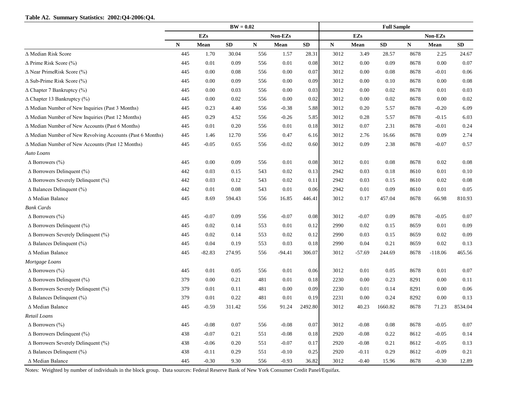#### **Table A2. Summary Statistics: 2002:Q4-2006:Q4.**

|                                                                  | $BW = 0.02$ |            |        |           |          |           | <b>Full Sample</b> |            |         |           |           |         |
|------------------------------------------------------------------|-------------|------------|--------|-----------|----------|-----------|--------------------|------------|---------|-----------|-----------|---------|
|                                                                  |             | <b>EZs</b> |        |           | Non-EZs  |           |                    | <b>EZs</b> |         |           | Non-EZs   |         |
|                                                                  | ${\bf N}$   | Mean       | SD     | ${\bf N}$ | Mean     | <b>SD</b> | ${\bf N}$          | Mean       | SD      | ${\bf N}$ | Mean      | SD      |
| ∆ Median Risk Score                                              | 445         | 1.70       | 30.04  | 556       | 1.57     | 28.31     | 3012               | 3.49       | 28.57   | 8678      | 2.25      | 24.67   |
| $\Delta$ Prime Risk Score (%)                                    | 445         | 0.01       | 0.09   | 556       | 0.01     | 0.08      | 3012               | 0.00       | 0.09    | 8678      | 0.00      | 0.07    |
| $\Delta$ Near PrimeRisk Score (%)                                | 445         | 0.00       | 0.08   | 556       | 0.00     | 0.07      | 3012               | 0.00       | 0.08    | 8678      | $-0.01$   | 0.06    |
| $\Delta$ Sub-Prime Risk Score (%)                                | 445         | 0.00       | 0.09   | 556       | 0.00     | 0.09      | 3012               | 0.00       | 0.10    | 8678      | 0.00      | 0.08    |
| $\Delta$ Chapter 7 Bankruptcy (%)                                | 445         | 0.00       | 0.03   | 556       | 0.00     | 0.03      | 3012               | 0.00       | 0.02    | 8678      | 0.01      | 0.03    |
| $\Delta$ Chapter 13 Bankruptcy (%)                               | 445         | 0.00       | 0.02   | 556       | 0.00     | 0.02      | 3012               | 0.00       | 0.02    | 8678      | 0.00      | 0.02    |
| ∆ Median Number of New Inquiries (Past 3 Months)                 | 445         | 0.23       | 4.40   | 556       | $-0.38$  | 5.88      | 3012               | 0.20       | 5.57    | 8678      | $-0.20$   | 6.09    |
| $\Delta$ Median Number of New Inquiries (Past 12 Months)         | 445         | 0.29       | 4.52   | 556       | $-0.26$  | 5.85      | 3012               | 0.28       | 5.57    | 8678      | $-0.15$   | 6.03    |
| ∆ Median Number of New Accounts (Past 6 Months)                  | 445         | 0.01       | 0.20   | 556       | 0.01     | 0.18      | 3012               | 0.07       | 2.31    | 8678      | $-0.01$   | 0.24    |
| $\Delta$ Median Number of New Revolving Accounts (Past 6 Months) | 445         | 1.46       | 12.70  | 556       | 0.47     | 6.16      | 3012               | 2.76       | 16.66   | 8678      | 0.09      | 2.74    |
| ∆ Median Number of New Accounts (Past 12 Months)                 | 445         | $-0.05$    | 0.65   | 556       | $-0.02$  | 0.60      | 3012               | 0.09       | 2.38    | 8678      | $-0.07$   | 0.57    |
| Auto Loans                                                       |             |            |        |           |          |           |                    |            |         |           |           |         |
| $\Delta$ Borrowers (%)                                           | 445         | 0.00       | 0.09   | 556       | 0.01     | 0.08      | 3012               | 0.01       | 0.08    | 8678      | 0.02      | 0.08    |
| $\Delta$ Borrowers Delinquent (%)                                | 442         | 0.03       | 0.15   | 543       | 0.02     | 0.13      | 2942               | 0.03       | 0.18    | 8610      | 0.01      | 0.10    |
| $\Delta$ Borrowers Severely Delinquent (%)                       | 442         | 0.03       | 0.12   | 543       | 0.02     | 0.11      | 2942               | 0.03       | 0.15    | 8610      | 0.02      | 0.08    |
| $\Delta$ Balances Delinquent (%)                                 | 442         | 0.01       | 0.08   | 543       | 0.01     | 0.06      | 2942               | 0.01       | 0.09    | 8610      | 0.01      | 0.05    |
| ∆ Median Balance                                                 | 445         | 8.69       | 594.43 | 556       | 16.85    | 446.41    | 3012               | 0.17       | 457.04  | 8678      | 66.98     | 810.93  |
| <b>Bank Cards</b>                                                |             |            |        |           |          |           |                    |            |         |           |           |         |
| $\Delta$ Borrowers (%)                                           | 445         | $-0.07$    | 0.09   | 556       | $-0.07$  | 0.08      | 3012               | $-0.07$    | 0.09    | 8678      | $-0.05$   | 0.07    |
| $\Delta$ Borrowers Delinquent (%)                                | 445         | 0.02       | 0.14   | 553       | 0.01     | 0.12      | 2990               | 0.02       | 0.15    | 8659      | 0.01      | 0.09    |
| $\Delta$ Borrowers Severely Delinquent (%)                       | 445         | 0.02       | 0.14   | 553       | 0.02     | 0.12      | 2990               | 0.03       | 0.15    | 8659      | 0.02      | 0.09    |
| $\Delta$ Balances Delinquent (%)                                 | 445         | 0.04       | 0.19   | 553       | 0.03     | 0.18      | 2990               | 0.04       | 0.21    | 8659      | 0.02      | 0.13    |
| ∆ Median Balance                                                 | 445         | $-82.83$   | 274.95 | 556       | $-94.41$ | 306.07    | 3012               | $-57.69$   | 244.69  | 8678      | $-118.06$ | 465.56  |
| Mortgage Loans                                                   |             |            |        |           |          |           |                    |            |         |           |           |         |
| $\Delta$ Borrowers (%)                                           | 445         | 0.01       | 0.05   | 556       | 0.01     | 0.06      | 3012               | 0.01       | 0.05    | 8678      | 0.01      | 0.07    |
| $\Delta$ Borrowers Delinquent (%)                                | 379         | 0.00       | 0.21   | 481       | 0.01     | 0.18      | 2230               | 0.00       | 0.23    | 8291      | 0.00      | 0.11    |
| $\Delta$ Borrowers Severely Delinquent (%)                       | 379         | 0.01       | 0.11   | 481       | 0.00     | 0.09      | 2230               | 0.01       | 0.14    | 8291      | 0.00      | 0.06    |
| $\Delta$ Balances Delinquent (%)                                 | 379         | 0.01       | 0.22   | 481       | 0.01     | 0.19      | 2231               | 0.00       | 0.24    | 8292      | 0.00      | 0.13    |
| ∆ Median Balance                                                 | 445         | $-0.59$    | 311.42 | 556       | 91.24    | 2492.80   | 3012               | 40.23      | 1660.82 | 8678      | 71.23     | 8534.04 |
| Retail Loans                                                     |             |            |        |           |          |           |                    |            |         |           |           |         |
| $\Delta$ Borrowers (%)                                           | 445         | $-0.08$    | 0.07   | 556       | $-0.08$  | 0.07      | 3012               | $-0.08$    | 0.08    | 8678      | $-0.05$   | 0.07    |
| $\Delta$ Borrowers Delinquent (%)                                | 438         | $-0.07$    | 0.21   | 551       | $-0.08$  | 0.18      | 2920               | $-0.08$    | 0.22    | 8612      | $-0.05$   | 0.14    |
| $\Delta$ Borrowers Severely Delinquent (%)                       | 438         | $-0.06$    | 0.20   | 551       | $-0.07$  | 0.17      | 2920               | $-0.08$    | 0.21    | 8612      | $-0.05$   | 0.13    |
| $\Delta$ Balances Delinquent (%)                                 | 438         | $-0.11$    | 0.29   | 551       | $-0.10$  | 0.25      | 2920               | $-0.11$    | 0.29    | 8612      | $-0.09$   | 0.21    |
| ∆ Median Balance                                                 | 445         | $-0.30$    | 9.30   | 556       | $-0.93$  | 36.82     | 3012               | $-0.40$    | 15.96   | 8678      | $-0.30$   | 12.89   |

Notes: Weighted by number of individuals in the block group. Data sources: Federal Reserve Bank of New York Consumer Credit Panel/Equifax.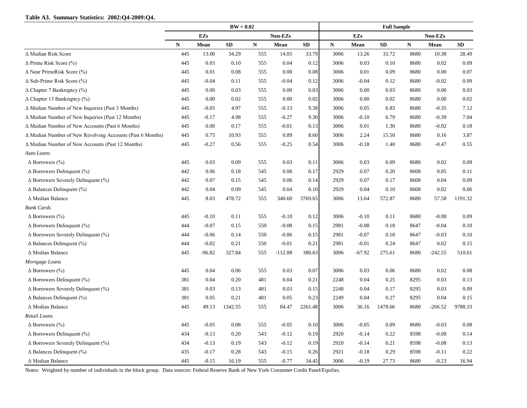#### **Table A3. Summary Statistics: 2002:Q4-2009:Q4.**

|                                                           | $BW = 0.02$ |            |         |           |           |            | <b>Full Sample</b> |            |         |           |           |         |
|-----------------------------------------------------------|-------------|------------|---------|-----------|-----------|------------|--------------------|------------|---------|-----------|-----------|---------|
|                                                           |             | <b>EZs</b> |         |           | Non-EZs   |            |                    | <b>EZs</b> |         |           | Non-EZs   |         |
|                                                           | ${\bf N}$   | Mean       | SD      | ${\bf N}$ | Mean      | ${\bf SD}$ | ${\bf N}$          | Mean       | SD      | ${\bf N}$ | Mean      | SD      |
| ∆ Median Risk Score                                       | 445         | 13.00      | 34.29   | 555       | 14.05     | 33.79      | 3006               | 13.26      | 33.72   | 8680      | 10.38     | 28.49   |
| $\Delta$ Prime Risk Score (%)                             | 445         | 0.03       | 0.10    | 555       | 0.04      | 0.12       | 3006               | 0.03       | 0.10    | 8680      | 0.02      | 0.09    |
| $\Delta$ Near PrimeRisk Score (%)                         | 445         | 0.01       | 0.08    | 555       | 0.00      | 0.08       | 3006               | 0.01       | 0.09    | 8680      | 0.00      | 0.07    |
| $\Delta$ Sub-Prime Risk Score (%)                         | 445         | $-0.04$    | 0.11    | 555       | $-0.04$   | 0.12       | 3006               | $-0.04$    | 0.12    | 8680      | $-0.02$   | 0.09    |
| $\Delta$ Chapter 7 Bankruptcy (%)                         | 445         | 0.00       | 0.03    | 555       | 0.00      | 0.03       | 3006               | 0.00       | 0.03    | 8680      | 0.00      | 0.03    |
| $\Delta$ Chapter 13 Bankruptcy (%)                        | 445         | 0.00       | 0.02    | 555       | 0.00      | 0.02       | 3006               | 0.00       | 0.02    | 8680      | 0.00      | 0.02    |
| ∆ Median Number of New Inquiries (Past 3 Months)          | 445         | $-0.05$    | 4.97    | 555       | $-0.13$   | 9.38       | 3006               | 0.05       | 6.83    | 8680      | $-0.35$   | 7.12    |
| $\Delta$ Median Number of New Inquiries (Past 12 Months)  | 445         | $-0.17$    | 4.98    | 555       | $-0.27$   | 9.30       | 3006               | $-0.10$    | 6.79    | 8680      | $-0.39$   | 7.04    |
| ∆ Median Number of New Accounts (Past 6 Months)           | 445         | 0.00       | 0.17    | 555       | $-0.01$   | 0.13       | 3006               | 0.01       | 1.30    | 8680      | $-0.02$   | 0.18    |
| ∆ Median Number of New Revolving Accounts (Past 6 Months) | 445         | 0.75       | 10.93   | 555       | 0.89      | 8.60       | 3006               | 2.24       | 15.50   | 8680      | 0.16      | 3.87    |
| ∆ Median Number of New Accounts (Past 12 Months)          | 445         | $-0.27$    | 0.56    | 555       | $-0.25$   | 0.54       | 3006               | $-0.18$    | 1.40    | 8680      | $-0.47$   | 0.55    |
| Auto Loans                                                |             |            |         |           |           |            |                    |            |         |           |           |         |
| $\Delta$ Borrowers (%)                                    | 445         | 0.03       | 0.09    | 555       | 0.03      | 0.11       | 3006               | 0.03       | 0.09    | 8680      | 0.02      | 0.09    |
| $\Delta$ Borrowers Delinquent (%)                         | 442         | 0.06       | 0.18    | 545       | 0.06      | 0.17       | 2929               | 0.07       | 0.20    | 8608      | 0.05      | 0.11    |
| $\Delta$ Borrowers Severely Delinquent (%)                | 442         | 0.07       | 0.15    | 545       | 0.06      | 0.14       | 2929               | 0.07       | 0.17    | 8608      | 0.04      | 0.09    |
| $\Delta$ Balances Delinquent (%)                          | 442         | 0.04       | 0.09    | 545       | 0.04      | 0.10       | 2929               | 0.04       | 0.10    | 8608      | 0.02      | 0.06    |
| $\Delta$ Median Balance                                   | 445         | 8.03       | 478.72  | 555       | 340.60    | 3769.65    | 3006               | 13.64      | 572.87  | 8680      | 57.58     | 1191.32 |
| <b>Bank Cards</b>                                         |             |            |         |           |           |            |                    |            |         |           |           |         |
| $\Delta$ Borrowers (%)                                    | 445         | $-0.10$    | 0.11    | 555       | $-0.10$   | 0.12       | 3006               | $-0.10$    | 0.11    | 8680      | $-0.08$   | 0.09    |
| $\Delta$ Borrowers Delinquent (%)                         | 444         | $-0.07$    | 0.15    | 550       | $-0.08$   | 0.15       | 2981               | $-0.08$    | 0.18    | 8647      | $-0.04$   | 0.10    |
| $\Delta$ Borrowers Severely Delinquent (%)                | 444         | $-0.06$    | 0.14    | 550       | $-0.06$   | 0.15       | 2981               | $-0.07$    | 0.18    | 8647      | $-0.03$   | 0.10    |
| $\Delta$ Balances Delinquent (%)                          | 444         | $-0.02$    | 0.21    | 550       | $-0.01$   | 0.21       | 2981               | $-0.01$    | 0.24    | 8647      | 0.02      | 0.15    |
| ∆ Median Balance                                          | 445         | $-96.82$   | 327.84  | 555       | $-112.88$ | 380.63     | 3006               | $-67.92$   | 275.61  | 8680      | $-242.55$ | 510.61  |
| Mortgage Loans                                            |             |            |         |           |           |            |                    |            |         |           |           |         |
| $\Delta$ Borrowers (%)                                    | 445         | 0.04       | 0.06    | 555       | 0.03      | 0.07       | 3006               | 0.03       | 0.06    | 8680      | 0.02      | 0.08    |
| $\Delta$ Borrowers Delinquent (%)                         | 381         | 0.04       | 0.20    | 481       | 0.04      | 0.21       | 2248               | 0.04       | 0.25    | 8295      | 0.03      | 0.13    |
| $\Delta$ Borrowers Severely Delinquent (%)                | 381         | 0.03       | 0.13    | 481       | 0.03      | 0.15       | 2248               | 0.04       | 0.17    | 8295      | 0.03      | 0.09    |
| $\Delta$ Balances Delinquent (%)                          | 381         | 0.05       | 0.21    | 481       | 0.05      | 0.23       | 2249               | 0.04       | 0.27    | 8295      | 0.04      | 0.15    |
| $\Delta$ Median Balance                                   | 445         | 49.13      | 1342.55 | 555       | 84.47     | 2261.48    | 3006               | 36.16      | 1478.66 | 8680      | $-266.52$ | 9788.33 |
| Retail Loans                                              |             |            |         |           |           |            |                    |            |         |           |           |         |
| $\Delta$ Borrowers (%)                                    | 445         | $-0.05$    | 0.08    | 555       | $-0.05$   | 0.10       | 3006               | $-0.05$    | 0.09    | 8680      | $-0.03$   | 0.08    |
| $\Delta$ Borrowers Delinquent (%)                         | 434         | $-0.13$    | 0.20    | 543       | $-0.12$   | 0.19       | 2920               | $-0.14$    | 0.22    | 8598      | $-0.08$   | 0.14    |
| $\Delta$ Borrowers Severely Delinquent (%)                | 434         | $-0.13$    | 0.19    | 543       | $-0.12$   | 0.19       | 2920               | $-0.14$    | 0.21    | 8598      | $-0.08$   | 0.13    |
| $\Delta$ Balances Delinquent (%)                          | 435         | $-0.17$    | 0.28    | 543       | $-0.15$   | 0.26       | 2921               | $-0.18$    | 0.29    | 8598      | $-0.11$   | 0.22    |
| $\Delta$ Median Balance                                   | 445         | $-0.15$    | 16.19   | 555       | $-0.77$   | 34.45      | 3006               | $-0.19$    | 27.73   | 8680      | $-0.23$   | 16.94   |

Notes: Weighted by number of individuals in the block group. Data sources: Federal Reserve Bank of New York Consumer Credit Panel/Equifax.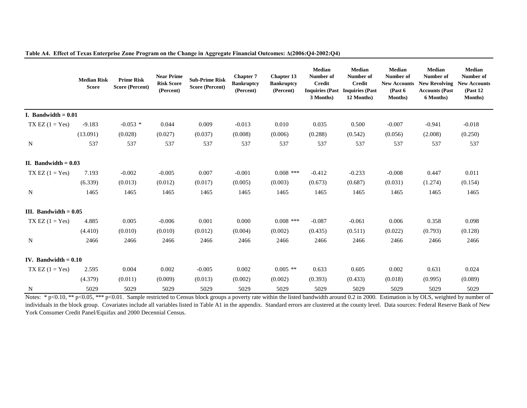|                                | <b>Median Risk</b><br><b>Score</b> | <b>Prime Risk</b><br><b>Score (Percent)</b> | <b>Near Prime</b><br><b>Risk Score</b><br>(Percent) | <b>Sub-Prime Risk</b><br><b>Score (Percent)</b> | <b>Chapter 7</b><br><b>Bankruptcy</b><br>(Percent) | <b>Chapter 13</b><br><b>Bankruptcy</b><br>(Percent) | <b>Median</b><br>Number of<br><b>Credit</b><br><b>Inquiries (Past</b><br>3 Months) | <b>Median</b><br>Number of<br><b>Credit</b><br><b>Inquiries (Past</b><br>12 Months) | Median<br>Number of<br><b>New Accounts</b><br>(Past 6)<br>Months) | <b>Median</b><br>Number of<br><b>New Revolving</b><br><b>Accounts (Past</b><br>6 Months) | <b>Median</b><br>Number of<br><b>New Accounts</b><br>(Past 12)<br>Months) |
|--------------------------------|------------------------------------|---------------------------------------------|-----------------------------------------------------|-------------------------------------------------|----------------------------------------------------|-----------------------------------------------------|------------------------------------------------------------------------------------|-------------------------------------------------------------------------------------|-------------------------------------------------------------------|------------------------------------------------------------------------------------------|---------------------------------------------------------------------------|
| I. Bandwidth $= 0.01$          |                                    |                                             |                                                     |                                                 |                                                    |                                                     |                                                                                    |                                                                                     |                                                                   |                                                                                          |                                                                           |
| TX EZ $(1 = Yes)$              | $-9.183$                           | $-0.053$ *                                  | 0.044                                               | 0.009                                           | $-0.013$                                           | 0.010                                               | 0.035                                                                              | 0.500                                                                               | $-0.007$                                                          | $-0.941$                                                                                 | $-0.018$                                                                  |
|                                | (13.091)                           | (0.028)                                     | (0.027)                                             | (0.037)                                         | (0.008)                                            | (0.006)                                             | (0.288)                                                                            | (0.542)                                                                             | (0.056)                                                           | (2.008)                                                                                  | (0.250)                                                                   |
| N                              | 537                                | 537                                         | 537                                                 | 537                                             | 537                                                | 537                                                 | 537                                                                                | 537                                                                                 | 537                                                               | 537                                                                                      | 537                                                                       |
| II. Bandwidth $= 0.03$         |                                    |                                             |                                                     |                                                 |                                                    |                                                     |                                                                                    |                                                                                     |                                                                   |                                                                                          |                                                                           |
| TX EZ $(1 = Yes)$              | 7.193                              | $-0.002$                                    | $-0.005$                                            | 0.007                                           | $-0.001$                                           | $0.008$ ***                                         | $-0.412$                                                                           | $-0.233$                                                                            | $-0.008$                                                          | 0.447                                                                                    | 0.011                                                                     |
|                                | (6.339)                            | (0.013)                                     | (0.012)                                             | (0.017)                                         | (0.005)                                            | (0.003)                                             | (0.673)                                                                            | (0.687)                                                                             | (0.031)                                                           | (1.274)                                                                                  | (0.154)                                                                   |
| N                              | 1465                               | 1465                                        | 1465                                                | 1465                                            | 1465                                               | 1465                                                | 1465                                                                               | 1465                                                                                | 1465                                                              | 1465                                                                                     | 1465                                                                      |
| <b>III.</b> Bandwidth $= 0.05$ |                                    |                                             |                                                     |                                                 |                                                    |                                                     |                                                                                    |                                                                                     |                                                                   |                                                                                          |                                                                           |
| TX EZ $(1 = Yes)$              | 4.885                              | 0.005                                       | $-0.006$                                            | 0.001                                           | 0.000                                              | $0.008$ ***                                         | $-0.087$                                                                           | $-0.061$                                                                            | 0.006                                                             | 0.358                                                                                    | 0.098                                                                     |
|                                | (4.410)                            | (0.010)                                     | (0.010)                                             | (0.012)                                         | (0.004)                                            | (0.002)                                             | (0.435)                                                                            | (0.511)                                                                             | (0.022)                                                           | (0.793)                                                                                  | (0.128)                                                                   |
| N                              | 2466                               | 2466                                        | 2466                                                | 2466                                            | 2466                                               | 2466                                                | 2466                                                                               | 2466                                                                                | 2466                                                              | 2466                                                                                     | 2466                                                                      |
| IV. Bandwidth $= 0.10$         |                                    |                                             |                                                     |                                                 |                                                    |                                                     |                                                                                    |                                                                                     |                                                                   |                                                                                          |                                                                           |
| TX EZ $(1 = Yes)$              | 2.595                              | 0.004                                       | 0.002                                               | $-0.005$                                        | 0.002                                              | $0.005$ **                                          | 0.633                                                                              | 0.605                                                                               | 0.002                                                             | 0.631                                                                                    | 0.024                                                                     |
|                                | (4.379)                            | (0.011)                                     | (0.009)                                             | (0.013)                                         | (0.002)                                            | (0.002)                                             | (0.393)                                                                            | (0.433)                                                                             | (0.018)                                                           | (0.995)                                                                                  | (0.089)                                                                   |
| N                              | 5029                               | 5029                                        | 5029                                                | 5029                                            | 5029                                               | 5029                                                | 5029                                                                               | 5029                                                                                | 5029                                                              | 5029                                                                                     | 5029                                                                      |

**Table A4. Effect of Texas Enterprise Zone Program on the Change in Aggregate Financial Outcomes: Δ(2006:Q4-2002:Q4)**

Notes: \* p<0.10, \*\* p<0.05, \*\*\* p<0.01. Sample restricted to Census block groups a poverty rate within the listed bandwidth around 0.2 in 2000. Estimation is by OLS, weighted by number of individuals in the block group. Covariates include all variables listed in Table A1 in the appendix. Standard errors are clustered at the county level. Data sources: Federal Reserve Bank of New York Consumer Credit Panel/Equifax and 2000 Decennial Census.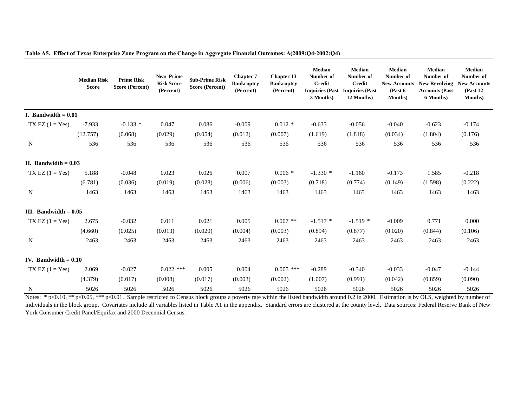|                         | <b>Median Risk</b><br><b>Score</b> | <b>Prime Risk</b><br><b>Score (Percent)</b> | <b>Near Prime</b><br><b>Risk Score</b><br>(Percent) | <b>Sub-Prime Risk</b><br><b>Score (Percent)</b> | <b>Chapter 7</b><br><b>Bankruptcy</b><br>(Percent) | <b>Chapter 13</b><br><b>Bankruptcy</b><br>(Percent) | <b>Median</b><br>Number of<br><b>Credit</b><br><b>Inquiries (Past</b><br>3 Months) | <b>Median</b><br>Number of<br><b>Credit</b><br><b>Inquiries (Past</b><br>12 Months) | Median<br>Number of<br><b>New Accounts</b><br>(Past 6<br>Months) | <b>Median</b><br>Number of<br><b>New Revolving</b><br><b>Accounts (Past</b><br>6 Months) | <b>Median</b><br>Number of<br><b>New Accounts</b><br>(Past 12)<br>Months) |
|-------------------------|------------------------------------|---------------------------------------------|-----------------------------------------------------|-------------------------------------------------|----------------------------------------------------|-----------------------------------------------------|------------------------------------------------------------------------------------|-------------------------------------------------------------------------------------|------------------------------------------------------------------|------------------------------------------------------------------------------------------|---------------------------------------------------------------------------|
| I. Bandwidth $= 0.01$   |                                    |                                             |                                                     |                                                 |                                                    |                                                     |                                                                                    |                                                                                     |                                                                  |                                                                                          |                                                                           |
| TX EZ $(1 = Yes)$       | $-7.933$                           | $-0.133*$                                   | 0.047                                               | 0.086                                           | $-0.009$                                           | $0.012$ *                                           | $-0.633$                                                                           | $-0.056$                                                                            | $-0.040$                                                         | $-0.623$                                                                                 | $-0.174$                                                                  |
|                         | (12.757)                           | (0.068)                                     | (0.029)                                             | (0.054)                                         | (0.012)                                            | (0.007)                                             | (1.619)                                                                            | (1.818)                                                                             | (0.034)                                                          | (1.804)                                                                                  | (0.176)                                                                   |
| N                       | 536                                | 536                                         | 536                                                 | 536                                             | 536                                                | 536                                                 | 536                                                                                | 536                                                                                 | 536                                                              | 536                                                                                      | 536                                                                       |
| II. Bandwidth $= 0.03$  |                                    |                                             |                                                     |                                                 |                                                    |                                                     |                                                                                    |                                                                                     |                                                                  |                                                                                          |                                                                           |
| TX EZ $(1 = Yes)$       | 5.188                              | $-0.048$                                    | 0.023                                               | 0.026                                           | 0.007                                              | $0.006*$                                            | $-1.330*$                                                                          | $-1.160$                                                                            | $-0.173$                                                         | 1.585                                                                                    | $-0.218$                                                                  |
|                         | (6.781)                            | (0.036)                                     | (0.019)                                             | (0.028)                                         | (0.006)                                            | (0.003)                                             | (0.718)                                                                            | (0.774)                                                                             | (0.149)                                                          | (1.598)                                                                                  | (0.222)                                                                   |
| N                       | 1463                               | 1463                                        | 1463                                                | 1463                                            | 1463                                               | 1463                                                | 1463                                                                               | 1463                                                                                | 1463                                                             | 1463                                                                                     | 1463                                                                      |
| III. Bandwidth $= 0.05$ |                                    |                                             |                                                     |                                                 |                                                    |                                                     |                                                                                    |                                                                                     |                                                                  |                                                                                          |                                                                           |
| TX EZ $(1 = Yes)$       | 2.675                              | $-0.032$                                    | 0.011                                               | 0.021                                           | 0.005                                              | $0.007$ **                                          | $-1.517$ *                                                                         | $-1.519*$                                                                           | $-0.009$                                                         | 0.771                                                                                    | 0.000                                                                     |
|                         | (4.660)                            | (0.025)                                     | (0.013)                                             | (0.020)                                         | (0.004)                                            | (0.003)                                             | (0.894)                                                                            | (0.877)                                                                             | (0.020)                                                          | (0.844)                                                                                  | (0.106)                                                                   |
| N                       | 2463                               | 2463                                        | 2463                                                | 2463                                            | 2463                                               | 2463                                                | 2463                                                                               | 2463                                                                                | 2463                                                             | 2463                                                                                     | 2463                                                                      |
| IV. Bandwidth $= 0.10$  |                                    |                                             |                                                     |                                                 |                                                    |                                                     |                                                                                    |                                                                                     |                                                                  |                                                                                          |                                                                           |
| TX EZ $(1 = Yes)$       | 2.069                              | $-0.027$                                    | $0.022$ ***                                         | 0.005                                           | 0.004                                              | $0.005$ ***                                         | $-0.289$                                                                           | $-0.340$                                                                            | $-0.033$                                                         | $-0.047$                                                                                 | $-0.144$                                                                  |
|                         | (4.379)                            | (0.017)                                     | (0.008)                                             | (0.017)                                         | (0.003)                                            | (0.002)                                             | (1.007)                                                                            | (0.991)                                                                             | (0.042)                                                          | (0.859)                                                                                  | (0.090)                                                                   |
| N                       | 5026                               | 5026                                        | 5026                                                | 5026                                            | 5026                                               | 5026                                                | 5026                                                                               | 5026                                                                                | 5026                                                             | 5026                                                                                     | 5026                                                                      |

#### **Table A5. Effect of Texas Enterprise Zone Program on the Change in Aggregate Financial Outcomes: Δ(2009:Q4-2002:Q4)**

Notes: \* p<0.10, \*\* p<0.05, \*\*\* p<0.01. Sample restricted to Census block groups a poverty rate within the listed bandwidth around 0.2 in 2000. Estimation is by OLS, weighted by number of individuals in the block group. Covariates include all variables listed in Table A1 in the appendix. Standard errors are clustered at the county level. Data sources: Federal Reserve Bank of New York Consumer Credit Panel/Equifax and 2000 Decennial Census.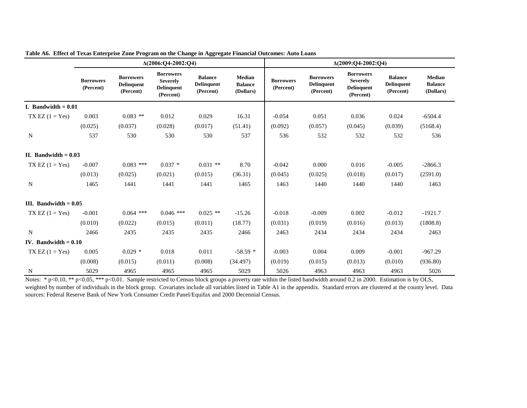|                                |                               |                                                    | $\Delta(2006; Q4 - 2002; Q4)$                                         | 88.8                                             |                                              | $\Delta(2009;O4-2002;O4)$     |                                                    |                                                                       |                                                  |                                              |  |  |
|--------------------------------|-------------------------------|----------------------------------------------------|-----------------------------------------------------------------------|--------------------------------------------------|----------------------------------------------|-------------------------------|----------------------------------------------------|-----------------------------------------------------------------------|--------------------------------------------------|----------------------------------------------|--|--|
|                                | <b>Borrowers</b><br>(Percent) | <b>Borrowers</b><br><b>Delinquent</b><br>(Percent) | <b>Borrowers</b><br><b>Severely</b><br><b>Delinquent</b><br>(Percent) | <b>Balance</b><br><b>Delinquent</b><br>(Percent) | <b>Median</b><br><b>Balance</b><br>(Dollars) | <b>Borrowers</b><br>(Percent) | <b>Borrowers</b><br><b>Delinquent</b><br>(Percent) | <b>Borrowers</b><br><b>Severely</b><br><b>Delinquent</b><br>(Percent) | <b>Balance</b><br><b>Delinquent</b><br>(Percent) | <b>Median</b><br><b>Balance</b><br>(Dollars) |  |  |
| I. Bandwidth $= 0.01$          |                               |                                                    |                                                                       |                                                  |                                              |                               |                                                    |                                                                       |                                                  |                                              |  |  |
| TX EZ $(1 = Yes)$              | 0.003                         | $0.083$ **                                         | 0.012                                                                 | 0.029                                            | 16.31                                        | $-0.054$                      | 0.051                                              | 0.036                                                                 | 0.024                                            | $-6504.4$                                    |  |  |
|                                | (0.025)                       | (0.037)                                            | (0.028)                                                               | (0.017)                                          | (51.41)                                      | (0.092)                       | (0.057)                                            | (0.045)                                                               | (0.039)                                          | (5168.4)                                     |  |  |
| N                              | 537                           | 530                                                | 530                                                                   | 530                                              | 537                                          | 536                           | 532                                                | 532                                                                   | 532                                              | 536                                          |  |  |
| II. Bandwidth $= 0.03$         |                               |                                                    |                                                                       |                                                  |                                              |                               |                                                    |                                                                       |                                                  |                                              |  |  |
| TX EZ $(1 = Yes)$              | $-0.007$                      | $0.083$ ***                                        | $0.037 *$                                                             | $0.031$ **                                       | 8.70                                         | $-0.042$                      | 0.000                                              | 0.016                                                                 | $-0.005$                                         | $-2866.3$                                    |  |  |
|                                | (0.013)                       | (0.025)                                            | (0.021)                                                               | (0.015)                                          | (36.31)                                      | (0.045)                       | (0.025)                                            | (0.018)                                                               | (0.017)                                          | (2591.0)                                     |  |  |
| ${\bf N}$                      | 1465                          | 1441                                               | 1441                                                                  | 1441                                             | 1465                                         | 1463                          | 1440                                               | 1440                                                                  | 1440                                             | 1463                                         |  |  |
| <b>III.</b> Bandwidth $= 0.05$ |                               |                                                    |                                                                       |                                                  |                                              |                               |                                                    |                                                                       |                                                  |                                              |  |  |
| TX EZ $(1 = Yes)$              | $-0.001$                      | $0.064$ ***                                        | $0.046$ ***                                                           | $0.025$ **                                       | $-15.26$                                     | $-0.018$                      | $-0.009$                                           | 0.002                                                                 | $-0.012$                                         | $-1921.7$                                    |  |  |
|                                | (0.010)                       | (0.022)                                            | (0.015)                                                               | (0.011)                                          | (18.77)                                      | (0.031)                       | (0.019)                                            | (0.016)                                                               | (0.013)                                          | (1808.8)                                     |  |  |
| $\mathbf N$                    | 2466                          | 2435                                               | 2435                                                                  | 2435                                             | 2466                                         | 2463                          | 2434                                               | 2434                                                                  | 2434                                             | 2463                                         |  |  |
| IV. Bandwidth $= 0.10$         |                               |                                                    |                                                                       |                                                  |                                              |                               |                                                    |                                                                       |                                                  |                                              |  |  |
| $TX$ EZ $(1 = Yes)$            | 0.005                         | $0.029*$                                           | 0.018                                                                 | 0.011                                            | $-58.59*$                                    | $-0.003$                      | 0.004                                              | 0.009                                                                 | $-0.001$                                         | $-967.29$                                    |  |  |
|                                | (0.008)                       | (0.015)                                            | (0.011)                                                               | (0.008)                                          | (34.497)                                     | (0.019)                       | (0.015)                                            | (0.013)                                                               | (0.010)                                          | (936.80)                                     |  |  |
| N                              | 5029                          | 4965                                               | 4965                                                                  | 4965                                             | 5029                                         | 5026                          | 4963                                               | 4963                                                                  | 4963                                             | 5026                                         |  |  |

**Table A6. Effect of Texas Enterprise Zone Program on the Change in Aggregate Financial Outcomes: Auto Loans**

Notes: \* p<0.10, \*\* p<0.05, \*\*\* p<0.01. Sample restricted to Census block groups a poverty rate within the listed bandwidth around 0.2 in 2000. Estimation is by OLS, weighted by number of individuals in the block group. Covariates include all variables listed in Table A1 in the appendix. Standard errors are clustered at the county level. Data sources: Federal Reserve Bank of New York Consumer Credit Panel/Equifax and 2000 Decennial Census.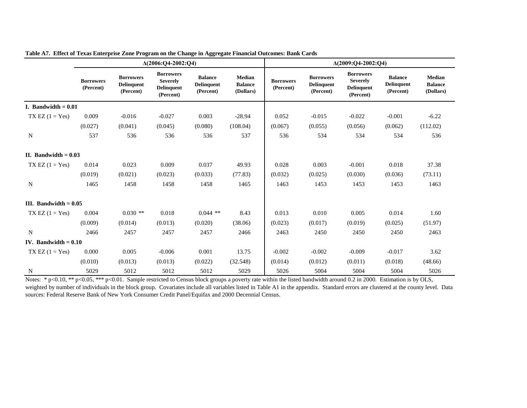|                                |                               |                                                    | $\Delta(2006; Q4 - 2002; Q4)$                                         | 88.8                                             |                                              | $\Delta(2009; Q4 - 2002; Q4)$ |                                                    |                                                                       |                                                  |                                              |  |  |
|--------------------------------|-------------------------------|----------------------------------------------------|-----------------------------------------------------------------------|--------------------------------------------------|----------------------------------------------|-------------------------------|----------------------------------------------------|-----------------------------------------------------------------------|--------------------------------------------------|----------------------------------------------|--|--|
|                                | <b>Borrowers</b><br>(Percent) | <b>Borrowers</b><br><b>Delinquent</b><br>(Percent) | <b>Borrowers</b><br><b>Severely</b><br><b>Delinquent</b><br>(Percent) | <b>Balance</b><br><b>Delinquent</b><br>(Percent) | <b>Median</b><br><b>Balance</b><br>(Dollars) | <b>Borrowers</b><br>(Percent) | <b>Borrowers</b><br><b>Delinquent</b><br>(Percent) | <b>Borrowers</b><br><b>Severely</b><br><b>Delinquent</b><br>(Percent) | <b>Balance</b><br><b>Delinquent</b><br>(Percent) | <b>Median</b><br><b>Balance</b><br>(Dollars) |  |  |
| I. Bandwidth $= 0.01$          |                               |                                                    |                                                                       |                                                  |                                              |                               |                                                    |                                                                       |                                                  |                                              |  |  |
| $TX$ EZ $(1 = Yes)$            | 0.009                         | $-0.016$                                           | $-0.027$                                                              | 0.003                                            | $-28.94$                                     | 0.052                         | $-0.015$                                           | $-0.022$                                                              | $-0.001$                                         | $-6.22$                                      |  |  |
|                                | (0.027)                       | (0.041)                                            | (0.045)                                                               | (0.080)                                          | (108.04)                                     | (0.067)                       | (0.055)                                            | (0.056)                                                               | (0.062)                                          | (112.02)                                     |  |  |
| N                              | 537                           | 536                                                | 536                                                                   | 536                                              | 537                                          | 536                           | 534                                                | 534                                                                   | 534                                              | 536                                          |  |  |
| II. Bandwidth $= 0.03$         |                               |                                                    |                                                                       |                                                  |                                              |                               |                                                    |                                                                       |                                                  |                                              |  |  |
| TX EZ $(1 = Yes)$              | 0.014                         | 0.023                                              | 0.009                                                                 | 0.037                                            | 49.93                                        | 0.028                         | 0.003                                              | $-0.001$                                                              | 0.018                                            | 37.38                                        |  |  |
|                                | (0.019)                       | (0.021)                                            | (0.023)                                                               | (0.033)                                          | (77.83)                                      | (0.032)                       | (0.025)                                            | (0.030)                                                               | (0.036)                                          | (73.11)                                      |  |  |
| N                              | 1465                          | 1458                                               | 1458                                                                  | 1458                                             | 1465                                         | 1463                          | 1453                                               | 1453                                                                  | 1453                                             | 1463                                         |  |  |
| <b>III.</b> Bandwidth $= 0.05$ |                               |                                                    |                                                                       |                                                  |                                              |                               |                                                    |                                                                       |                                                  |                                              |  |  |
| TX EZ $(1 = Yes)$              | 0.004                         | $0.030**$                                          | 0.018                                                                 | $0.044$ **                                       | 8.43                                         | 0.013                         | 0.010                                              | 0.005                                                                 | 0.014                                            | 1.60                                         |  |  |
|                                | (0.009)                       | (0.014)                                            | (0.013)                                                               | (0.020)                                          | (38.06)                                      | (0.023)                       | (0.017)                                            | (0.019)                                                               | (0.025)                                          | (51.97)                                      |  |  |
| $\mathbf N$                    | 2466                          | 2457                                               | 2457                                                                  | 2457                                             | 2466                                         | 2463                          | 2450                                               | 2450                                                                  | 2450                                             | 2463                                         |  |  |
| IV. Bandwidth $= 0.10$         |                               |                                                    |                                                                       |                                                  |                                              |                               |                                                    |                                                                       |                                                  |                                              |  |  |
| $TX$ EZ $(1 = Yes)$            | 0.000                         | 0.005                                              | $-0.006$                                                              | 0.001                                            | 13.75                                        | $-0.002$                      | $-0.002$                                           | $-0.009$                                                              | $-0.017$                                         | 3.62                                         |  |  |
|                                | (0.010)                       | (0.013)                                            | (0.013)                                                               | (0.022)                                          | (32.548)                                     | (0.014)                       | (0.012)                                            | (0.011)                                                               | (0.018)                                          | (48.66)                                      |  |  |
| N                              | 5029                          | 5012                                               | 5012                                                                  | 5012                                             | 5029                                         | 5026                          | 5004                                               | 5004                                                                  | 5004                                             | 5026                                         |  |  |

**Table A7. Effect of Texas Enterprise Zone Program on the Change in Aggregate Financial Outcomes: Bank Cards**

Notes: \* p<0.10, \*\* p<0.05, \*\*\* p<0.01. Sample restricted to Census block groups a poverty rate within the listed bandwidth around 0.2 in 2000. Estimation is by OLS, weighted by number of individuals in the block group. Covariates include all variables listed in Table A1 in the appendix. Standard errors are clustered at the county level. Data sources: Federal Reserve Bank of New York Consumer Credit Panel/Equifax and 2000 Decennial Census.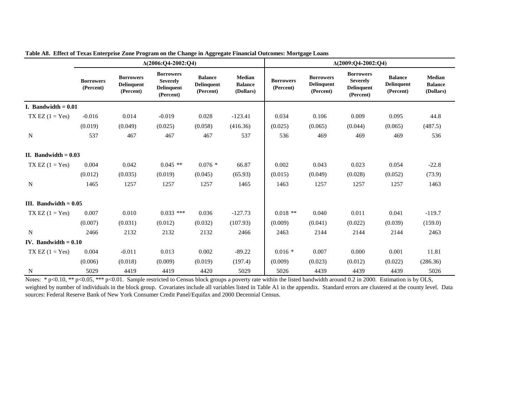|                         |                               |                                                    | $\Delta(2006;O4-2002;O4)$                                             |                                                  |                                              |                               |                                                    | $\Delta(2009;O4-2002;O4)$                                             |                                                  |                                              |
|-------------------------|-------------------------------|----------------------------------------------------|-----------------------------------------------------------------------|--------------------------------------------------|----------------------------------------------|-------------------------------|----------------------------------------------------|-----------------------------------------------------------------------|--------------------------------------------------|----------------------------------------------|
|                         | <b>Borrowers</b><br>(Percent) | <b>Borrowers</b><br><b>Delinquent</b><br>(Percent) | <b>Borrowers</b><br><b>Severely</b><br><b>Delinquent</b><br>(Percent) | <b>Balance</b><br><b>Delinquent</b><br>(Percent) | <b>Median</b><br><b>Balance</b><br>(Dollars) | <b>Borrowers</b><br>(Percent) | <b>Borrowers</b><br><b>Delinquent</b><br>(Percent) | <b>Borrowers</b><br><b>Severely</b><br><b>Delinquent</b><br>(Percent) | <b>Balance</b><br><b>Delinquent</b><br>(Percent) | <b>Median</b><br><b>Balance</b><br>(Dollars) |
| I. Bandwidth $= 0.01$   |                               |                                                    |                                                                       |                                                  |                                              |                               |                                                    |                                                                       |                                                  |                                              |
| $TX$ EZ $(1 = Yes)$     | $-0.016$                      | 0.014                                              | $-0.019$                                                              | 0.028                                            | $-123.41$                                    | 0.034                         | 0.106                                              | 0.009                                                                 | 0.095                                            | 44.8                                         |
|                         | (0.019)                       | (0.049)                                            | (0.025)                                                               | (0.058)                                          | (416.36)                                     | (0.025)                       | (0.065)                                            | (0.044)                                                               | (0.065)                                          | (487.5)                                      |
| N                       | 537                           | 467                                                | 467                                                                   | 467                                              | 537                                          | 536                           | 469                                                | 469                                                                   | 469                                              | 536                                          |
| II. Bandwidth $= 0.03$  |                               |                                                    |                                                                       |                                                  |                                              |                               |                                                    |                                                                       |                                                  |                                              |
| $TX$ EZ $(1 = Yes)$     | 0.004                         | 0.042                                              | $0.045$ **                                                            | $0.076*$                                         | 66.87                                        | 0.002                         | 0.043                                              | 0.023                                                                 | 0.054                                            | $-22.8$                                      |
|                         | (0.012)                       | (0.035)                                            | (0.019)                                                               | (0.045)                                          | (65.93)                                      | (0.015)                       | (0.049)                                            | (0.028)                                                               | (0.052)                                          | (73.9)                                       |
| N                       | 1465                          | 1257                                               | 1257                                                                  | 1257                                             | 1465                                         | 1463                          | 1257                                               | 1257                                                                  | 1257                                             | 1463                                         |
| III. Bandwidth $= 0.05$ |                               |                                                    |                                                                       |                                                  |                                              |                               |                                                    |                                                                       |                                                  |                                              |
| TX EZ $(1 = Yes)$       | 0.007                         | 0.010                                              | $0.033$ ***                                                           | 0.036                                            | $-127.73$                                    | $0.018$ **                    | 0.040                                              | 0.011                                                                 | 0.041                                            | $-119.7$                                     |
|                         | (0.007)                       | (0.031)                                            | (0.012)                                                               | (0.032)                                          | (107.93)                                     | (0.009)                       | (0.041)                                            | (0.022)                                                               | (0.039)                                          | (159.0)                                      |
| N                       | 2466                          | 2132                                               | 2132                                                                  | 2132                                             | 2466                                         | 2463                          | 2144                                               | 2144                                                                  | 2144                                             | 2463                                         |
| IV. Bandwidth $= 0.10$  |                               |                                                    |                                                                       |                                                  |                                              |                               |                                                    |                                                                       |                                                  |                                              |
| $TX$ EZ $(1 = Yes)$     | 0.004                         | $-0.011$                                           | 0.013                                                                 | 0.002                                            | $-89.22$                                     | $0.016*$                      | 0.007                                              | 0.000                                                                 | 0.001                                            | 11.81                                        |
|                         | (0.006)                       | (0.018)                                            | (0.009)                                                               | (0.019)                                          | (197.4)                                      | (0.009)                       | (0.023)                                            | (0.012)                                                               | (0.022)                                          | (286.36)                                     |
| N                       | 5029                          | 4419                                               | 4419                                                                  | 4420                                             | 5029                                         | 5026                          | 4439                                               | 4439                                                                  | 4439                                             | 5026                                         |

**Table A8. Effect of Texas Enterprise Zone Program on the Change in Aggregate Financial Outcomes: Mortgage Loans**

Notes: \* p<0.10, \*\* p<0.05, \*\*\* p<0.01. Sample restricted to Census block groups a poverty rate within the listed bandwidth around 0.2 in 2000. Estimation is by OLS, weighted by number of individuals in the block group. Covariates include all variables listed in Table A1 in the appendix. Standard errors are clustered at the county level. Data sources: Federal Reserve Bank of New York Consumer Credit Panel/Equifax and 2000 Decennial Census.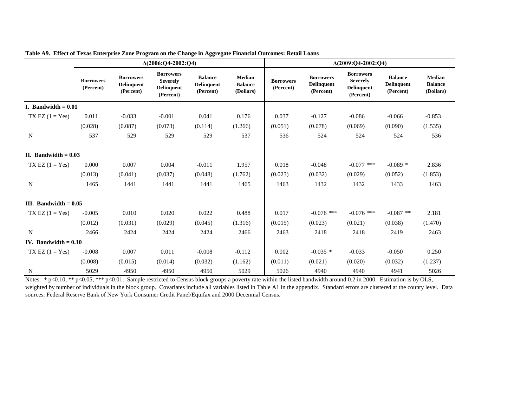|                                |                               |                                                    | $\Delta(2006; Q4 - 2002; Q4)$                                         |                                                  |                                              | $\Delta(2009;O4-2002;O4)$     |                                                    |                                                                       |                                                  |                                              |  |  |
|--------------------------------|-------------------------------|----------------------------------------------------|-----------------------------------------------------------------------|--------------------------------------------------|----------------------------------------------|-------------------------------|----------------------------------------------------|-----------------------------------------------------------------------|--------------------------------------------------|----------------------------------------------|--|--|
|                                | <b>Borrowers</b><br>(Percent) | <b>Borrowers</b><br><b>Delinquent</b><br>(Percent) | <b>Borrowers</b><br><b>Severely</b><br><b>Delinquent</b><br>(Percent) | <b>Balance</b><br><b>Delinquent</b><br>(Percent) | <b>Median</b><br><b>Balance</b><br>(Dollars) | <b>Borrowers</b><br>(Percent) | <b>Borrowers</b><br><b>Delinquent</b><br>(Percent) | <b>Borrowers</b><br><b>Severely</b><br><b>Delinquent</b><br>(Percent) | <b>Balance</b><br><b>Delinquent</b><br>(Percent) | <b>Median</b><br><b>Balance</b><br>(Dollars) |  |  |
| I. Bandwidth $= 0.01$          |                               |                                                    |                                                                       |                                                  |                                              |                               |                                                    |                                                                       |                                                  |                                              |  |  |
| $TX$ EZ $(1 = Yes)$            | 0.011                         | $-0.033$                                           | $-0.001$                                                              | 0.041                                            | 0.176                                        | 0.037                         | $-0.127$                                           | $-0.086$                                                              | $-0.066$                                         | $-0.853$                                     |  |  |
|                                | (0.028)                       | (0.087)                                            | (0.073)                                                               | (0.114)                                          | (1.266)                                      | (0.051)                       | (0.078)                                            | (0.069)                                                               | (0.090)                                          | (1.535)                                      |  |  |
| N                              | 537                           | 529                                                | 529                                                                   | 529                                              | 537                                          | 536                           | 524                                                | 524                                                                   | 524                                              | 536                                          |  |  |
| $\Pi$ . Bandwidth = 0.03       |                               |                                                    |                                                                       |                                                  |                                              |                               |                                                    |                                                                       |                                                  |                                              |  |  |
| $TX$ EZ $(1 = Yes)$            | 0.000                         | 0.007                                              | 0.004                                                                 | $-0.011$                                         | 1.957                                        | 0.018                         | $-0.048$                                           | $-0.077$ ***                                                          | $-0.089*$                                        | 2.836                                        |  |  |
|                                | (0.013)                       | (0.041)                                            | (0.037)                                                               | (0.048)                                          | (1.762)                                      | (0.023)                       | (0.032)                                            | (0.029)                                                               | (0.052)                                          | (1.853)                                      |  |  |
| $\mathbf N$                    | 1465                          | 1441                                               | 1441                                                                  | 1441                                             | 1465                                         | 1463                          | 1432                                               | 1432                                                                  | 1433                                             | 1463                                         |  |  |
| <b>III.</b> Bandwidth $= 0.05$ |                               |                                                    |                                                                       |                                                  |                                              |                               |                                                    |                                                                       |                                                  |                                              |  |  |
| $TX$ EZ $(1 = Yes)$            | $-0.005$                      | 0.010                                              | 0.020                                                                 | 0.022                                            | 0.488                                        | 0.017                         | $-0.076$ ***                                       | $-0.076$ ***                                                          | $-0.087$ **                                      | 2.181                                        |  |  |
|                                | (0.012)                       | (0.031)                                            | (0.029)                                                               | (0.045)                                          | (1.316)                                      | (0.015)                       | (0.023)                                            | (0.021)                                                               | (0.038)                                          | (1.470)                                      |  |  |
| N                              | 2466                          | 2424                                               | 2424                                                                  | 2424                                             | 2466                                         | 2463                          | 2418                                               | 2418                                                                  | 2419                                             | 2463                                         |  |  |
| IV. Bandwidth $= 0.10$         |                               |                                                    |                                                                       |                                                  |                                              |                               |                                                    |                                                                       |                                                  |                                              |  |  |
| TX EZ $(1 = Yes)$              | $-0.008$                      | 0.007                                              | 0.011                                                                 | $-0.008$                                         | $-0.112$                                     | 0.002                         | $-0.035$ *                                         | $-0.033$                                                              | $-0.050$                                         | 0.250                                        |  |  |
|                                | (0.008)                       | (0.015)                                            | (0.014)                                                               | (0.032)                                          | (1.162)                                      | (0.011)                       | (0.021)                                            | (0.020)                                                               | (0.032)                                          | (1.237)                                      |  |  |
| N                              | 5029                          | 4950                                               | 4950                                                                  | 4950                                             | 5029                                         | 5026                          | 4940                                               | 4940                                                                  | 4941                                             | 5026                                         |  |  |

**Table A9. Effect of Texas Enterprise Zone Program on the Change in Aggregate Financial Outcomes: Retail Loans**

Notes:  $*_{p<0.10}$ ,  $*_{p<0.05}$ ,  $**_{p<0.01}$ . Sample restricted to Census block groups a poverty rate within the listed bandwidth around 0.2 in 2000. Estimation is by OLS, weighted by number of individuals in the block group. Covariates include all variables listed in Table A1 in the appendix. Standard errors are clustered at the county level. Data sources: Federal Reserve Bank of New York Consumer Credit Panel/Equifax and 2000 Decennial Census.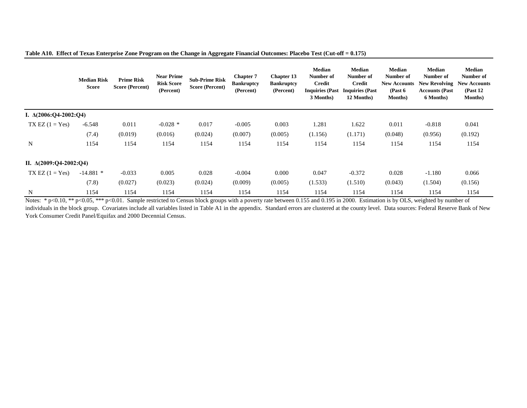|  |  |  |  |  |  |  | Table A10. Effect of Texas Enterprise Zone Program on the Change in Aggregate Financial Outcomes: Placebo Test (Cut-off = 0.175) |  |
|--|--|--|--|--|--|--|----------------------------------------------------------------------------------------------------------------------------------|--|
|--|--|--|--|--|--|--|----------------------------------------------------------------------------------------------------------------------------------|--|

|                                | <b>Median Risk</b><br><b>Score</b> | <b>Prime Risk</b><br><b>Score (Percent)</b> | <b>Near Prime</b><br><b>Risk Score</b><br>(Percent) | <b>Sub-Prime Risk</b><br><b>Score (Percent)</b> | <b>Chapter 7</b><br><b>Bankruptcy</b><br>(Percent) | <b>Chapter 13</b><br><b>Bankruptcy</b><br>(Percent) | <b>Median</b><br>Number of<br>Credit<br><b>Inquiries (Past</b><br>3 Months) | <b>Median</b><br>Number of<br><b>Credit</b><br><b>Inquiries (Past</b><br>12 Months) | <b>Median</b><br>Number of<br><b>New Accounts</b><br>(Past 6)<br><b>Months</b> ) | Median<br>Number of<br><b>New Revolving</b><br><b>Accounts (Past</b><br>6 Months) | <b>Median</b><br>Number of<br><b>New Accounts</b><br>(Past 12)<br><b>Months</b> ) |
|--------------------------------|------------------------------------|---------------------------------------------|-----------------------------------------------------|-------------------------------------------------|----------------------------------------------------|-----------------------------------------------------|-----------------------------------------------------------------------------|-------------------------------------------------------------------------------------|----------------------------------------------------------------------------------|-----------------------------------------------------------------------------------|-----------------------------------------------------------------------------------|
| I. $\Delta(2006; Q4-2002; Q4)$ |                                    |                                             |                                                     |                                                 |                                                    |                                                     |                                                                             |                                                                                     |                                                                                  |                                                                                   |                                                                                   |
| $TX$ EZ $(1 = Yes)$            | $-6.548$                           | 0.011                                       | $-0.028$ *                                          | 0.017                                           | $-0.005$                                           | 0.003                                               | 1.281                                                                       | 1.622                                                                               | 0.011                                                                            | $-0.818$                                                                          | 0.041                                                                             |
|                                | (7.4)                              | (0.019)                                     | (0.016)                                             | (0.024)                                         | (0.007)                                            | (0.005)                                             | (1.156)                                                                     | (1.171)                                                                             | (0.048)                                                                          | (0.956)                                                                           | (0.192)                                                                           |
| N                              | 1154                               | 1154                                        | 1154                                                | 1154                                            | 1154                                               | 1154                                                | 1154                                                                        | 1154                                                                                | 1154                                                                             | 1154                                                                              | 1154                                                                              |
| II. $\Delta(2009;O4-2002;O4)$  |                                    |                                             |                                                     |                                                 |                                                    |                                                     |                                                                             |                                                                                     |                                                                                  |                                                                                   |                                                                                   |
| $TX$ EZ $(1 = Yes)$            | $-14.881*$                         | $-0.033$                                    | 0.005                                               | 0.028                                           | $-0.004$                                           | 0.000                                               | 0.047                                                                       | $-0.372$                                                                            | 0.028                                                                            | $-1.180$                                                                          | 0.066                                                                             |
|                                | (7.8)                              | (0.027)                                     | (0.023)                                             | (0.024)                                         | (0.009)                                            | (0.005)                                             | (1.533)                                                                     | (1.510)                                                                             | (0.043)                                                                          | (1.504)                                                                           | (0.156)                                                                           |
| N                              | 1154                               | 1154                                        | 1154                                                | 1154                                            | 1154                                               | 1154                                                | 1154                                                                        | 1154                                                                                | 1154                                                                             | 1154                                                                              | 1154                                                                              |

Notes: \* p<0.10, \*\* p<0.05, \*\*\* p<0.01. Sample restricted to Census block groups with a poverty rate between 0.155 and 0.195 in 2000. Estimation is by OLS, weighted by number of individuals in the block group. Covariates include all variables listed in Table A1 in the appendix. Standard errors are clustered at the county level. Data sources: Federal Reserve Bank of New York Consumer Credit Panel/Equifax and 2000 Decennial Census.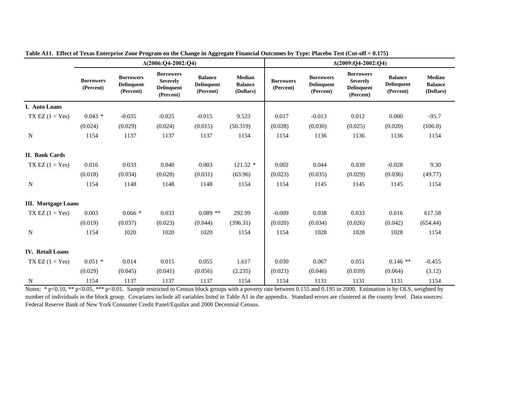|                            |                               |                                                    | $\Delta(2006;O4-2002;O4)$                                             |                                                  |                                       |                               |                                                    | $\Delta(2009;O4-2002;O4)$                                             |                                                  |                                       |
|----------------------------|-------------------------------|----------------------------------------------------|-----------------------------------------------------------------------|--------------------------------------------------|---------------------------------------|-------------------------------|----------------------------------------------------|-----------------------------------------------------------------------|--------------------------------------------------|---------------------------------------|
|                            | <b>Borrowers</b><br>(Percent) | <b>Borrowers</b><br><b>Delinquent</b><br>(Percent) | <b>Borrowers</b><br><b>Severely</b><br><b>Delinquent</b><br>(Percent) | <b>Balance</b><br><b>Delinquent</b><br>(Percent) | Median<br><b>Balance</b><br>(Dollars) | <b>Borrowers</b><br>(Percent) | <b>Borrowers</b><br><b>Delinquent</b><br>(Percent) | <b>Borrowers</b><br><b>Severely</b><br><b>Delinquent</b><br>(Percent) | <b>Balance</b><br><b>Delinquent</b><br>(Percent) | Median<br><b>Balance</b><br>(Dollars) |
| I. Auto Loans              |                               |                                                    |                                                                       |                                                  |                                       |                               |                                                    |                                                                       |                                                  |                                       |
| $TX$ EZ $(1 = Yes)$        | $0.043*$                      | $-0.035$                                           | $-0.025$                                                              | $-0.015$                                         | 9.523                                 | 0.017                         | $-0.013$                                           | 0.012                                                                 | 0.000                                            | $-95.7$                               |
|                            | (0.024)                       | (0.029)                                            | (0.024)                                                               | (0.015)                                          | (50.319)                              | (0.028)                       | (0.030)                                            | (0.025)                                                               | (0.020)                                          | (106.0)                               |
| $\mathbf N$                | 1154                          | 1137                                               | 1137                                                                  | 1137                                             | 1154                                  | 1154                          | 1136                                               | 1136                                                                  | 1136                                             | 1154                                  |
| <b>II.</b> Bank Cards      |                               |                                                    |                                                                       |                                                  |                                       |                               |                                                    |                                                                       |                                                  |                                       |
| TX EZ $(1 = Yes)$          | 0.016                         | 0.033                                              | 0.040                                                                 | 0.003                                            | $121.52*$                             | 0.002                         | 0.044                                              | 0.039                                                                 | $-0.028$                                         | 9.30                                  |
|                            | (0.018)                       | (0.034)                                            | (0.028)                                                               | (0.031)                                          | (63.96)                               | (0.023)                       | (0.035)                                            | (0.029)                                                               | (0.036)                                          | (49.77)                               |
| N                          | 1154                          | 1148                                               | 1148                                                                  | 1148                                             | 1154                                  | 1154                          | 1145                                               | 1145                                                                  | 1145                                             | 1154                                  |
| <b>III.</b> Mortgage Loans |                               |                                                    |                                                                       |                                                  |                                       |                               |                                                    |                                                                       |                                                  |                                       |
| $TX$ EZ $(1 = Yes)$        | 0.003                         | $0.066*$                                           | 0.033                                                                 | $0.089$ **                                       | 292.99                                | $-0.009$                      | 0.038                                              | 0.033                                                                 | 0.016                                            | 617.58                                |
|                            | (0.019)                       | (0.037)                                            | (0.023)                                                               | (0.044)                                          | (396.31)                              | (0.020)                       | (0.034)                                            | (0.026)                                                               | (0.042)                                          | (654.44)                              |
| N                          | 1154                          | 1020                                               | 1020                                                                  | 1020                                             | 1154                                  | 1154                          | 1028                                               | 1028                                                                  | 1028                                             | 1154                                  |
| <b>IV.</b> Retail Loans    |                               |                                                    |                                                                       |                                                  |                                       |                               |                                                    |                                                                       |                                                  |                                       |
| TX EZ $(1 = Yes)$          | $0.051$ *                     | 0.014                                              | 0.015                                                                 | 0.055                                            | 1.617                                 | 0.030                         | 0.067                                              | 0.051                                                                 | $0.146$ **                                       | $-0.455$                              |
|                            | (0.029)                       | (0.045)                                            | (0.041)                                                               | (0.056)                                          | (2.235)                               | (0.023)                       | (0.046)                                            | (0.039)                                                               | (0.064)                                          | (3.12)                                |
| N                          | 1154                          | 1137                                               | 1137                                                                  | 1137                                             | 1154                                  | 1154                          | 1131                                               | 1131                                                                  | 1131                                             | 1154                                  |

**Table A11. Effect of Texas Enterprise Zone Program on the Change in Aggregate Financial Outcomes by Type: Placebo Test (Cut-off = 0.175)**

Notes: \* p<0.10, \*\* p<0.05, \*\*\* p<0.01. Sample restricted to Census block groups with a poverty rate between 0.155 and 0.195 in 2000. Estimation is by OLS, weighted by number of individuals in the block group. Covariates include all variables listed in Table A1 in the appendix. Standard errors are clustered at the county level. Data sources: Federal Reserve Bank of New York Consumer Credit Panel/Equifax and 2000 Decennial Census.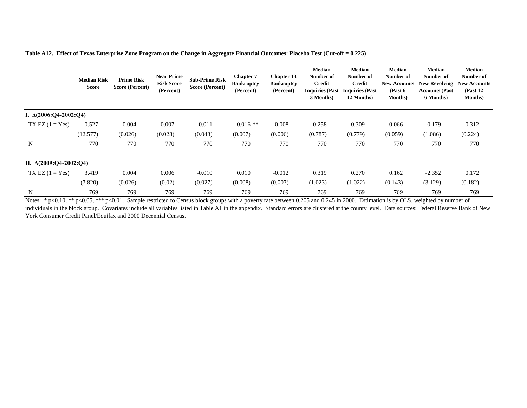|  |  |  |  |  |  | Table A12. Effect of Texas Enterprise Zone Program on the Change in Aggregate Financial Outcomes: Placebo Test (Cut-off = 0.225) |  |  |
|--|--|--|--|--|--|----------------------------------------------------------------------------------------------------------------------------------|--|--|
|--|--|--|--|--|--|----------------------------------------------------------------------------------------------------------------------------------|--|--|

|                                 | <b>Median Risk</b><br><b>Score</b> | <b>Prime Risk</b><br><b>Score (Percent)</b> | <b>Near Prime</b><br><b>Risk Score</b><br>(Percent) | <b>Sub-Prime Risk</b><br><b>Score (Percent)</b> | <b>Chapter 7</b><br><b>Bankruptcy</b><br>(Percent) | <b>Chapter 13</b><br><b>Bankruptcy</b><br>(Percent) | <b>Median</b><br>Number of<br>Credit<br><b>Inquiries (Past</b><br>3 Months) | <b>Median</b><br>Number of<br><b>Credit</b><br><b>Inquiries (Past</b><br>12 Months) | <b>Median</b><br>Number of<br><b>New Accounts</b><br>$({\bf Past 6}$<br><b>Months</b> ) | <b>Median</b><br>Number of<br><b>New Revolving</b><br><b>Accounts (Past</b><br>6 Months) | <b>Median</b><br>Number of<br><b>New Accounts</b><br>(Past 12)<br><b>Months</b> ) |
|---------------------------------|------------------------------------|---------------------------------------------|-----------------------------------------------------|-------------------------------------------------|----------------------------------------------------|-----------------------------------------------------|-----------------------------------------------------------------------------|-------------------------------------------------------------------------------------|-----------------------------------------------------------------------------------------|------------------------------------------------------------------------------------------|-----------------------------------------------------------------------------------|
| I. $\Delta(2006; Q4-2002; Q4)$  |                                    |                                             |                                                     |                                                 |                                                    |                                                     |                                                                             |                                                                                     |                                                                                         |                                                                                          |                                                                                   |
| TX EZ $(1 = Yes)$               | $-0.527$                           | 0.004                                       | 0.007                                               | $-0.011$                                        | $0.016$ **                                         | $-0.008$                                            | 0.258                                                                       | 0.309                                                                               | 0.066                                                                                   | 0.179                                                                                    | 0.312                                                                             |
|                                 | (12.577)                           | (0.026)                                     | (0.028)                                             | (0.043)                                         | (0.007)                                            | (0.006)                                             | (0.787)                                                                     | (0.779)                                                                             | (0.059)                                                                                 | (1.086)                                                                                  | (0.224)                                                                           |
| N                               | 770                                | 770                                         | 770                                                 | 770                                             | 770                                                | 770                                                 | 770                                                                         | 770                                                                                 | 770                                                                                     | 770                                                                                      | 770                                                                               |
| II. $\Delta(2009; Q4-2002; Q4)$ |                                    |                                             |                                                     |                                                 |                                                    |                                                     |                                                                             |                                                                                     |                                                                                         |                                                                                          |                                                                                   |
| TX EZ $(1 = Yes)$               | 3.419                              | 0.004                                       | 0.006                                               | $-0.010$                                        | 0.010                                              | $-0.012$                                            | 0.319                                                                       | 0.270                                                                               | 0.162                                                                                   | $-2.352$                                                                                 | 0.172                                                                             |
|                                 | (7.820)                            | (0.026)                                     | (0.02)                                              | (0.027)                                         | (0.008)                                            | (0.007)                                             | (1.023)                                                                     | (1.022)                                                                             | (0.143)                                                                                 | (3.129)                                                                                  | (0.182)                                                                           |
| N                               | 769                                | 769                                         | 769                                                 | 769                                             | 769                                                | 769                                                 | 769                                                                         | 769                                                                                 | 769                                                                                     | 769                                                                                      | 769                                                                               |

Notes: \* p<0.10, \*\* p<0.05, \*\*\* p<0.01. Sample restricted to Census block groups with a poverty rate between 0.205 and 0.245 in 2000. Estimation is by OLS, weighted by number of individuals in the block group. Covariates include all variables listed in Table A1 in the appendix. Standard errors are clustered at the county level. Data sources: Federal Reserve Bank of New York Consumer Credit Panel/Equifax and 2000 Decennial Census.